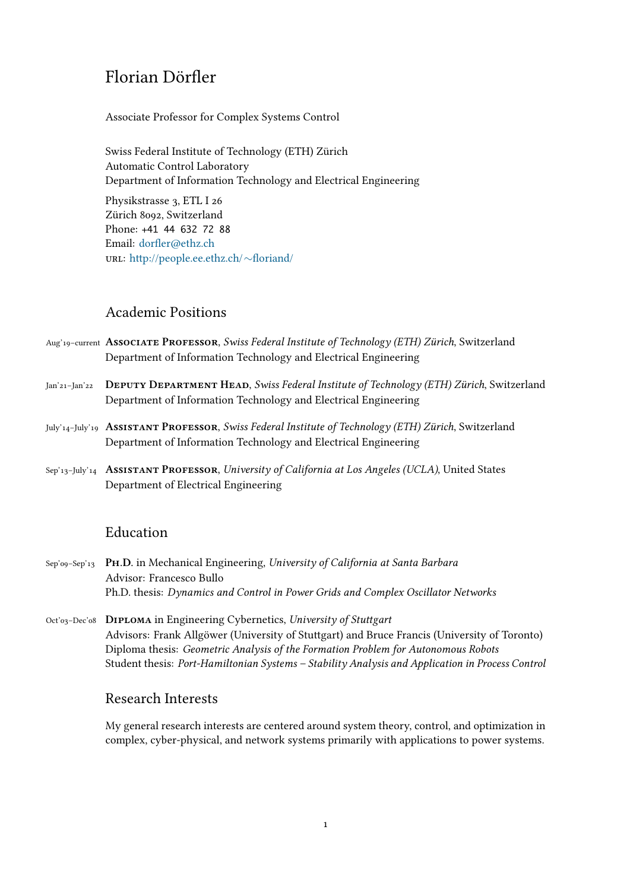# Florian Dörfler

Associate Professor for Complex Systems Control

Swiss Federal Institute of Technology (ETH) Zürich Automatic Control Laboratory Department of Information Technology and Electrical Engineering Physikstrasse 3, ETL I 26 Zürich 8092, Switzerland Phone: +41 44 632 72 88 Email: dorfler@ethz.ch

url: http://people.ee.ethz.ch/*∼*floriand/

## Ac[ademic Positions](http://people.ee.ethz.ch/~floriand/)

- Aug'19–current **Associate Professor**, *Swiss Federal Institute of Technology (ETH) Zürich*, Switzerland Department of Information Technology and Electrical Engineering
- Jan'21–Jan'22 **Deputy Department Head**, *Swiss Federal Institute of Technology (ETH) Zürich*, Switzerland Department of Information Technology and Electrical Engineering
- July'14–July'19 **Assistant Professor**, *Swiss Federal Institute of Technology (ETH) Zürich*, Switzerland Department of Information Technology and Electrical Engineering
- Sep'13–July'14 **Assistant Professor**, *University of California at Los Angeles (UCLA)*, United States Department of Electrical Engineering

## Education

- Sep'09–Sep'13 **Ph.D.** in Mechanical Engineering, *University of California at Santa Barbara* Advisor: Francesco Bullo Ph.D. thesis: *Dynamics and Control in Power Grids and Complex Oscillator Networks*
- Oct'03–Dec'08 **Diploma** in Engineering Cybernetics, *University of Stuttgart* Advisors: Frank Allgöwer (University of Stuttgart) and Bruce Francis (University of Toronto) Diploma thesis: *Geometric Analysis of the Formation Problem for Autonomous Robots* Student thesis: *Port-Hamiltonian Systems – Stability Analysis and Application in Process Control*

## Research Interests

My general research interests are centered around system theory, control, and optimization in complex, cyber-physical, and network systems primarily with applications to power systems.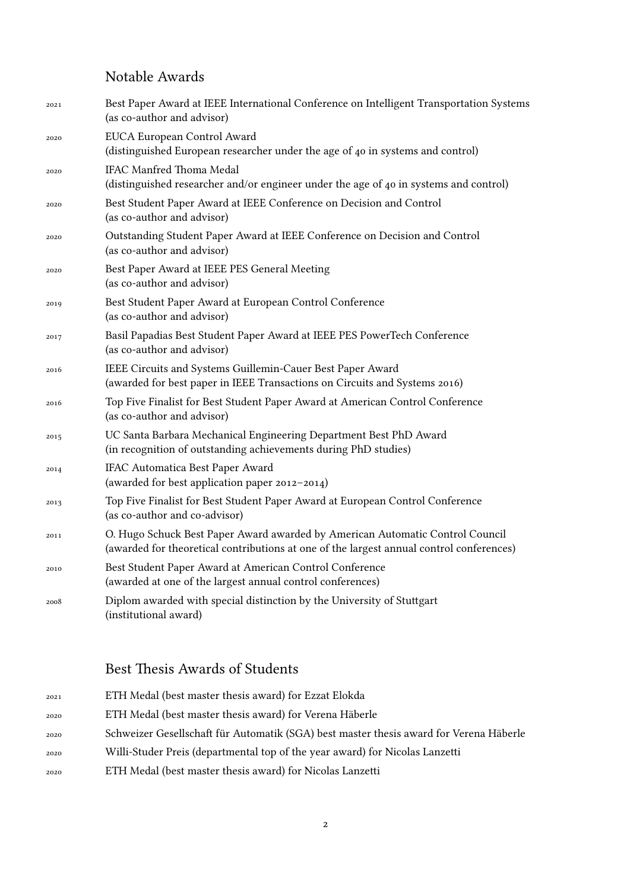# Notable Awards

| 2021 | Best Paper Award at IEEE International Conference on Intelligent Transportation Systems<br>(as co-author and advisor)                                                     |
|------|---------------------------------------------------------------------------------------------------------------------------------------------------------------------------|
| 2020 | EUCA European Control Award<br>(distinguished European researcher under the age of 40 in systems and control)                                                             |
| 2020 | <b>IFAC Manfred Thoma Medal</b><br>(distinguished researcher and/or engineer under the age of 40 in systems and control)                                                  |
| 2020 | Best Student Paper Award at IEEE Conference on Decision and Control<br>(as co-author and advisor)                                                                         |
| 2020 | Outstanding Student Paper Award at IEEE Conference on Decision and Control<br>(as co-author and advisor)                                                                  |
| 2020 | Best Paper Award at IEEE PES General Meeting<br>(as co-author and advisor)                                                                                                |
| 2019 | Best Student Paper Award at European Control Conference<br>(as co-author and advisor)                                                                                     |
| 2017 | Basil Papadias Best Student Paper Award at IEEE PES PowerTech Conference<br>(as co-author and advisor)                                                                    |
| 2016 | IEEE Circuits and Systems Guillemin-Cauer Best Paper Award<br>(awarded for best paper in IEEE Transactions on Circuits and Systems 2016)                                  |
| 2016 | Top Five Finalist for Best Student Paper Award at American Control Conference<br>(as co-author and advisor)                                                               |
| 2015 | UC Santa Barbara Mechanical Engineering Department Best PhD Award<br>(in recognition of outstanding achievements during PhD studies)                                      |
| 2014 | IFAC Automatica Best Paper Award<br>(awarded for best application paper 2012-2014)                                                                                        |
| 2013 | Top Five Finalist for Best Student Paper Award at European Control Conference<br>(as co-author and co-advisor)                                                            |
| 2011 | O. Hugo Schuck Best Paper Award awarded by American Automatic Control Council<br>(awarded for theoretical contributions at one of the largest annual control conferences) |
| 2010 | Best Student Paper Award at American Control Conference<br>(awarded at one of the largest annual control conferences)                                                     |
| 2008 | Diplom awarded with special distinction by the University of Stuttgart<br>(institutional award)                                                                           |

# Best Thesis Awards of Students

| 2021 | ETH Medal (best master thesis award) for Ezzat Elokda                                  |
|------|----------------------------------------------------------------------------------------|
| 2020 | ETH Medal (best master thesis award) for Verena Häberle                                |
| 2020 | Schweizer Gesellschaft für Automatik (SGA) best master thesis award for Verena Häberle |
| 2020 | Willi-Studer Preis (departmental top of the year award) for Nicolas Lanzetti           |
| 2020 | ETH Medal (best master thesis award) for Nicolas Lanzetti                              |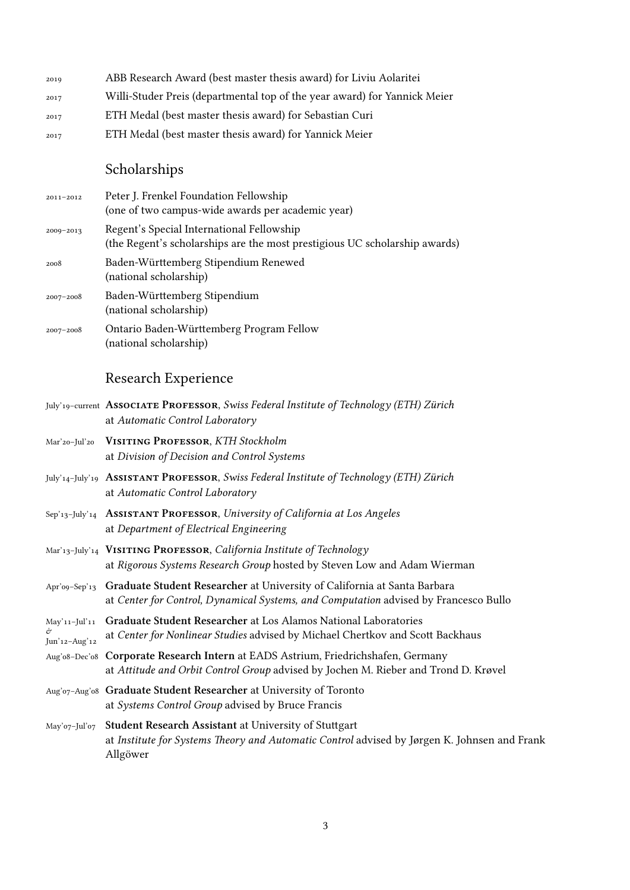| 2019 | ABB Research Award (best master thesis award) for Liviu Aolaritei         |
|------|---------------------------------------------------------------------------|
| 2017 | Willi-Studer Preis (departmental top of the year award) for Yannick Meier |
| 2017 | ETH Medal (best master thesis award) for Sebastian Curi                   |
| 2017 | ETH Medal (best master thesis award) for Yannick Meier                    |

# Scholarships

| 2011-2012     | Peter J. Frenkel Foundation Fellowship<br>(one of two campus-wide awards per academic year)                             |
|---------------|-------------------------------------------------------------------------------------------------------------------------|
| $2009 - 2013$ | Regent's Special International Fellowship<br>(the Regent's scholarships are the most prestigious UC scholarship awards) |
| 2008          | Baden-Württemberg Stipendium Renewed<br>(national scholarship)                                                          |
| 2007-2008     | Baden-Württemberg Stipendium<br>(national scholarship)                                                                  |
| $2007 - 2008$ | Ontario Baden-Württemberg Program Fellow<br>(national scholarship)                                                      |

# Research Experience

|                                | July'19-current ASSOCIATE PROFESSOR, Swiss Federal Institute of Technology (ETH) Zürich<br>at Automatic Control Laboratory                                               |
|--------------------------------|--------------------------------------------------------------------------------------------------------------------------------------------------------------------------|
| Mar'20-Jul'20                  | <b>VISITING PROFESSOR, KTH Stockholm</b><br>at Division of Decision and Control Systems                                                                                  |
|                                | July'14-July'19 ASSISTANT PROFESSOR, Swiss Federal Institute of Technology (ETH) Zürich<br>at Automatic Control Laboratory                                               |
|                                | Sep'13-July'14 ASSISTANT PROFESSOR, University of California at Los Angeles<br>at Department of Electrical Engineering                                                   |
|                                | Mar'13-July'14 VISITING PROFESSOR, California Institute of Technology<br>at Rigorous Systems Research Group hosted by Steven Low and Adam Wierman                        |
| Apr'o9-Sep'13                  | Graduate Student Researcher at University of California at Santa Barbara<br>at Center for Control, Dynamical Systems, and Computation advised by Francesco Bullo         |
| May'11-Jul'11<br>Jun'12-Aug'12 | Graduate Student Researcher at Los Alamos National Laboratories<br>at Center for Nonlinear Studies advised by Michael Chertkov and Scott Backhaus                        |
| Aug'o8-Dec'o8                  | Corporate Research Intern at EADS Astrium, Friedrichshafen, Germany<br>at Attitude and Orbit Control Group advised by Jochen M. Rieber and Trond D. Krøvel               |
|                                | Aug'o7-Aug'o8 Graduate Student Researcher at University of Toronto<br>at Systems Control Group advised by Bruce Francis                                                  |
| May'o7-Jul'o7                  | <b>Student Research Assistant at University of Stuttgart</b><br>at Institute for Systems Theory and Automatic Control advised by Jørgen K. Johnsen and Frank<br>Allgöwer |
|                                |                                                                                                                                                                          |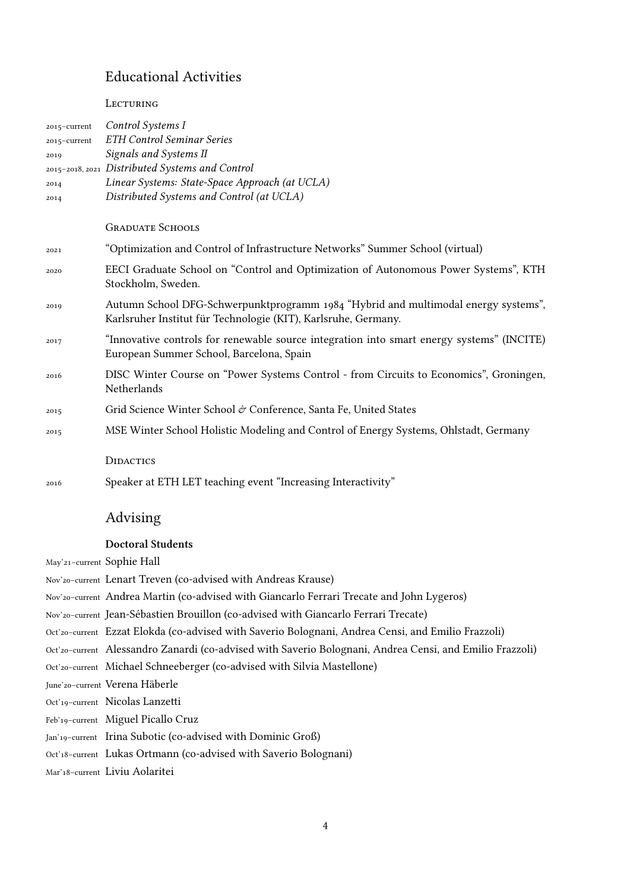## Educational Activities

**LECTURING** 

| 2015-current | Control Systems I                                                                         |
|--------------|-------------------------------------------------------------------------------------------|
| 2015-current | <b>ETH Control Seminar Series</b>                                                         |
| 2019         | Signals and Systems II                                                                    |
|              | 2015-2018, 2021 Distributed Systems and Control                                           |
| 2014         | Linear Systems: State-Space Approach (at UCLA)                                            |
| 2014         | Distributed Systems and Control (at UCLA)                                                 |
|              |                                                                                           |
|              | <b>GRADUATE SCHOOLS</b>                                                                   |
| 2021         | "Optimization and Control of Infrastructure Networks" Summer School (virtual)             |
| 2020         | EECI Graduate School on "Control and Optimization of Autonomous Power Systems", KTH       |
|              | Stockholm, Sweden.                                                                        |
| 2019         | Autumn School DFG-Schwerpunktprogramm 1984 "Hybrid and multimodal energy systems",        |
|              | Karlsruher Institut für Technologie (KIT), Karlsruhe, Germany.                            |
| 2017         | "Innovative controls for renewable source integration into smart energy systems" (INCITE) |
|              | European Summer School, Barcelona, Spain                                                  |
| 2016         | DISC Winter Course on "Power Systems Control - from Circuits to Economics", Groningen,    |
|              | Netherlands                                                                               |
|              |                                                                                           |
| 2015         | Grid Science Winter School & Conference, Santa Fe, United States                          |
| 2015         | MSE Winter School Holistic Modeling and Control of Energy Systems, Ohlstadt, Germany      |
|              |                                                                                           |
|              | <b>DIDACTICS</b>                                                                          |
| 2016         | Speaker at ETH LET teaching event "Increasing Interactivity"                              |

# Advising

## **Doctoral Students**

May'21–current Sophie Hall

Nov'20–current Lenart Treven (co-advised with Andreas Krause)

Nov'20–current Andrea Martin (co-advised with Giancarlo Ferrari Trecate and John Lygeros)

Nov'20–current Jean- Sébastien Brouillon (co-advised with Giancarlo Ferrari Trecate)

Oct'20–current Ezzat Elokda (co-advised with Saverio Bolognani, Andrea Censi, and Emilio Frazzoli)

Oct'20–current Alessandro Zanardi (co-advised with Saverio Bolognani, Andrea Censi, and Emilio Frazzoli)

Oct'20–current Michael Schneeberger (co-advised with Silvia Mastellone)

June'20–current Verena Häberle

Oct'19–current Nicolas Lanzetti

Feb'19–current Miguel Picallo Cruz

Jan'19-current Irina Subotic (co-advised with Dominic Groß)

Oct'18–current Lukas Ortmann (co-advised with Saverio Bolognani)

Mar'18–current Liviu Aolaritei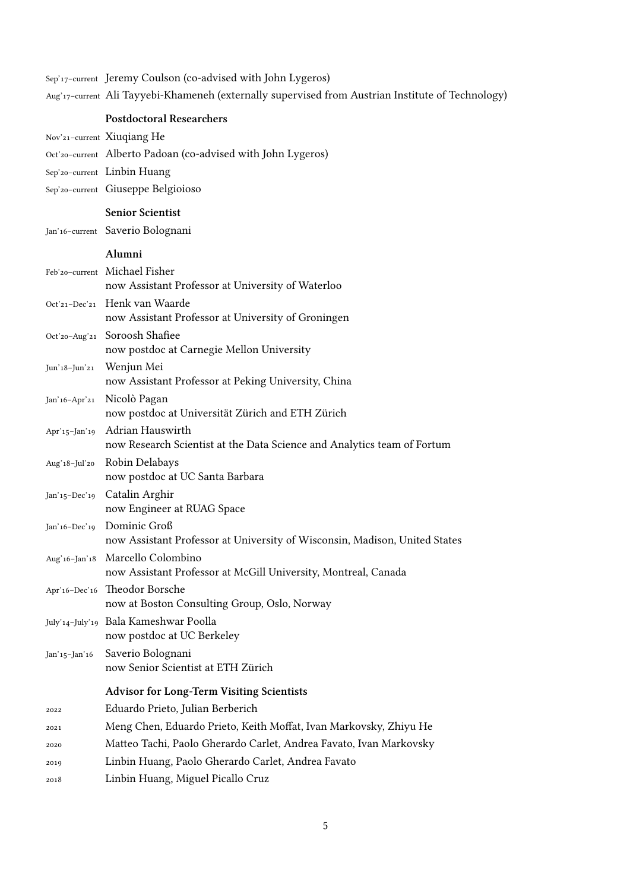Sep'17–current Jeremy Coulson (co-advised with John Lygeros)

Aug'17–current Ali Tayyebi-Khameneh (externally supervised from Austrian Institute of Technology)

|               | <b>Postdoctoral Researchers</b>                                                                                          |
|---------------|--------------------------------------------------------------------------------------------------------------------------|
|               | Nov'21-current Xiuqiang He                                                                                               |
|               | Oct'20-current Alberto Padoan (co-advised with John Lygeros)                                                             |
|               | Sep'20-current Linbin Huang                                                                                              |
|               | Sep'20-current Giuseppe Belgioioso                                                                                       |
|               | <b>Senior Scientist</b>                                                                                                  |
|               | Jan'16-current Saverio Bolognani                                                                                         |
|               | Alumni                                                                                                                   |
|               | Feb'20-current Michael Fisher                                                                                            |
|               | now Assistant Professor at University of Waterloo                                                                        |
|               | Oct'21-Dec'21 Henk van Waarde<br>now Assistant Professor at University of Groningen                                      |
|               | Oct'20-Aug'21 Soroosh Shafiee                                                                                            |
|               | now postdoc at Carnegie Mellon University                                                                                |
| Jun'18-Jun'21 | Wenjun Mei<br>now Assistant Professor at Peking University, China                                                        |
| Jan'16-Apr'21 | Nicolò Pagan<br>now postdoc at Universität Zürich and ETH Zürich                                                         |
|               | Apr'15-Jan'19 Adrian Hauswirth<br>now Research Scientist at the Data Science and Analytics team of Fortum                |
|               | Aug'18-Jul'20 Robin Delabays<br>now postdoc at UC Santa Barbara                                                          |
| Jan'15-Dec'19 | Catalin Arghir<br>now Engineer at RUAG Space                                                                             |
|               | Jan'16-Dec'19 Dominic Groß<br>now Assistant Professor at University of Wisconsin, Madison, United States                 |
|               | Aug'16-Jan'18 Marcello Colombino<br>now Assistant Professor at McGill University, Montreal, Canada                       |
|               | Apr'16-Dec'16 Theodor Borsche                                                                                            |
|               | now at Boston Consulting Group, Oslo, Norway                                                                             |
|               | July'14-July'19 Bala Kameshwar Poolla<br>now postdoc at UC Berkeley                                                      |
| Jan'15-Jan'16 | Saverio Bolognani<br>now Senior Scientist at ETH Zürich                                                                  |
|               | <b>Advisor for Long-Term Visiting Scientists</b>                                                                         |
| 2022          | Eduardo Prieto, Julian Berberich                                                                                         |
| 2021          | Meng Chen, Eduardo Prieto, Keith Moffat, Ivan Markovsky, Zhiyu He                                                        |
| 2020          |                                                                                                                          |
|               |                                                                                                                          |
| 2019          | Matteo Tachi, Paolo Gherardo Carlet, Andrea Favato, Ivan Markovsky<br>Linbin Huang, Paolo Gherardo Carlet, Andrea Favato |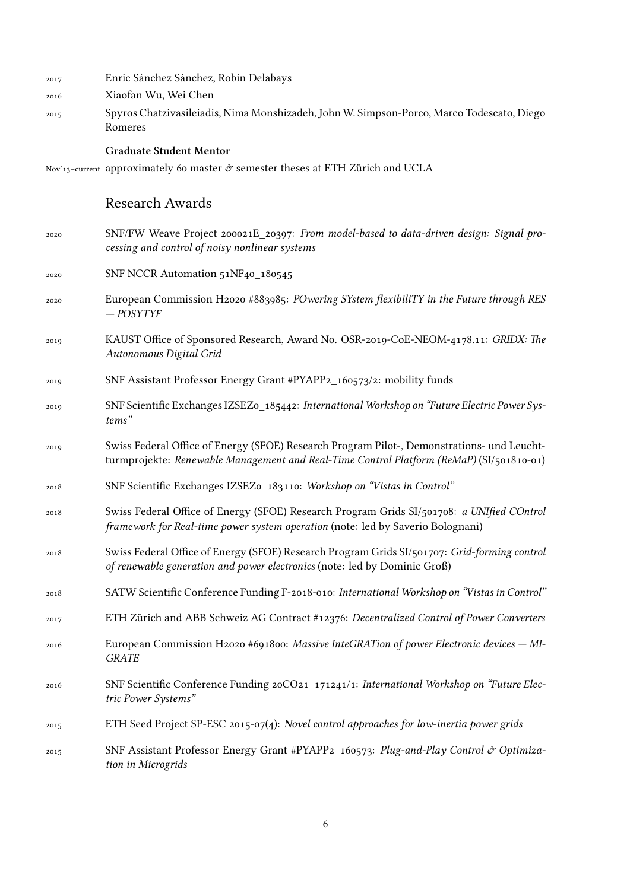- 2017 Enric Sánchez Sánchez, Robin Delabays
- 2016 Xiaofan Wu, Wei Chen
- 2015 Spyros Chatzivasileiadis, Nima Monshizadeh, John W. Simpson-Porco, Marco Todescato, Diego Romeres

#### **Graduate Student Mentor**

Nov'13-current approximately 60 master  $\mathcal O$  semester theses at ETH Zürich and UCLA

## Research Awards

- 2020 SNF/FW Weave Project 200021E\_20397: *From model-based to data-driven design: Signal processing and control of noisy nonlinear systems*
- 2020 SNF NCCR Automation 51NF40\_180545
- 2020 European Commission H2020 #883985: *POwering SYstem flexibiliTY in the Future through RES — POSYTYF*
- 2019 KAUST Office of Sponsored Research, Award No. OSR-2019-CoE-NEOM-4178.11: *GRIDX: The Autonomous Digital Grid*
- 2019 SNF Assistant Professor Energy Grant #PYAPP2\_160573/2: mobility funds
- 2019 SNF Scientific Exchanges IZSEZ0\_185442: *International Workshop on "Future Electric Power Systems"*
- 2019 Swiss Federal Office of Energy (SFOE) Research Program Pilot-, Demonstrations- und Leuchtturmprojekte: *Renewable Management and Real-Time Control Platform (ReMaP)* (SI/501810-01)
- 2018 SNF Scientific Exchanges IZSEZ0\_183110: *Workshop on "Vistas in Control"*
- 2018 Swiss Federal Office of Energy (SFOE) Research Program Grids SI/501708: *a UNIfied COntrol framework for Real-time power system operation* (note: led by Saverio Bolognani)
- 2018 Swiss Federal Office of Energy (SFOE) Research Program Grids SI/501707: *Grid-forming control of renewable generation and power electronics* (note: led by Dominic Groß)
- 2018 SATW Scientific Conference Funding F-2018-010: *International Workshop on "Vistas in Control"*
- 2017 ETH Zürich and ABB Schweiz AG Contract #12376: *Decentralized Control of Power Converters*
- 2016 European Commission H2020 #691800: *Massive InteGRATion of power Electronic devices MI-GRATE*
- 2016 SNF Scientific Conference Funding 20CO21\_171241/1: *International Workshop on "Future Electric Power Systems"*
- 2015 ETH Seed Project SP-ESC 2015-07(4): *Novel control approaches for low-inertia power grids*
- 2015 SNF Assistant Professor Energy Grant #PYAPP2\_160573: *Plug-and-Play Control & Optimization in Microgrids*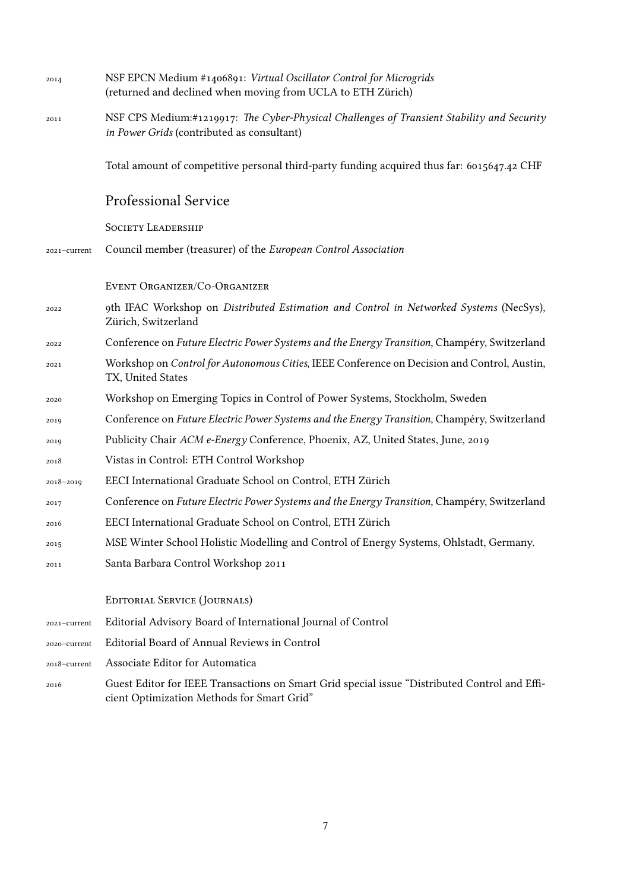| 2014          | NSF EPCN Medium #1406891: Virtual Oscillator Control for Microgrids<br>(returned and declined when moving from UCLA to ETH Zürich)       |
|---------------|------------------------------------------------------------------------------------------------------------------------------------------|
| 2011          | NSF CPS Medium:#1219917: The Cyber-Physical Challenges of Transient Stability and Security<br>in Power Grids (contributed as consultant) |
|               | Total amount of competitive personal third-party funding acquired thus far: 6015647.42 CHF                                               |
|               | <b>Professional Service</b>                                                                                                              |
|               | <b>SOCIETY LEADERSHIP</b>                                                                                                                |
| 2021-current  | Council member (treasurer) of the European Control Association                                                                           |
|               | EVENT ORGANIZER/CO-ORGANIZER                                                                                                             |
| 2022          | 9th IFAC Workshop on Distributed Estimation and Control in Networked Systems (NecSys),<br>Zürich, Switzerland                            |
| 2022          | Conference on Future Electric Power Systems and the Energy Transition, Champéry, Switzerland                                             |
| 2021          | Workshop on Control for Autonomous Cities, IEEE Conference on Decision and Control, Austin,<br>TX, United States                         |
| 2020          | Workshop on Emerging Topics in Control of Power Systems, Stockholm, Sweden                                                               |
| 2019          | Conference on Future Electric Power Systems and the Energy Transition, Champéry, Switzerland                                             |
| 2019          | Publicity Chair ACM e-Energy Conference, Phoenix, AZ, United States, June, 2019                                                          |
| 2018          | Vistas in Control: ETH Control Workshop                                                                                                  |
| $2018 - 2019$ | EECI International Graduate School on Control, ETH Zürich                                                                                |
| 2017          | Conference on Future Electric Power Systems and the Energy Transition, Champéry, Switzerland                                             |
| 2016          | EECI International Graduate School on Control, ETH Zürich                                                                                |
| 2015          | MSE Winter School Holistic Modelling and Control of Energy Systems, Ohlstadt, Germany.                                                   |
| 2011          | Santa Barbara Control Workshop 2011                                                                                                      |
|               | <b>EDITORIAL SERVICE (JOURNALS)</b>                                                                                                      |
| 2021-current  | Editorial Advisory Board of International Journal of Control                                                                             |
| 2020-current  | Editorial Board of Annual Reviews in Control                                                                                             |
| 2018-current  | Associate Editor for Automatica                                                                                                          |
| 2016          | Guest Editor for IEEE Transactions on Smart Grid special issue "Distributed Control and Effi-                                            |

cient Optimization Methods for Smart Grid"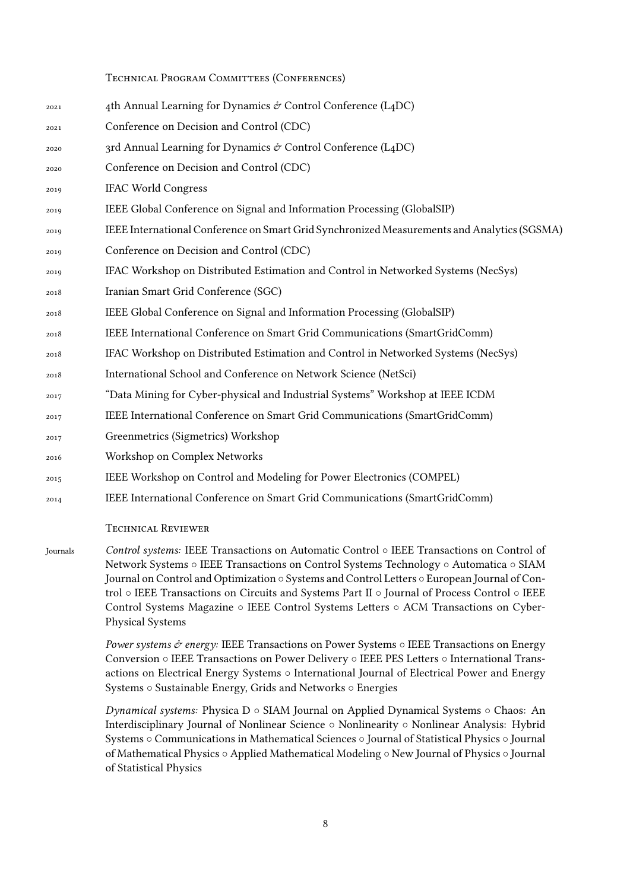#### Technical Program Committees (Conferences)

| 2021 | 4th Annual Learning for Dynamics $\acute{\sigma}$ Control Conference (L4DC)                 |
|------|---------------------------------------------------------------------------------------------|
| 2021 | Conference on Decision and Control (CDC)                                                    |
| 2020 | 3rd Annual Learning for Dynamics & Control Conference (L4DC)                                |
| 2020 | Conference on Decision and Control (CDC)                                                    |
| 2019 | <b>IFAC World Congress</b>                                                                  |
| 2019 | IEEE Global Conference on Signal and Information Processing (GlobalSIP)                     |
| 2019 | IEEE International Conference on Smart Grid Synchronized Measurements and Analytics (SGSMA) |
| 2019 | Conference on Decision and Control (CDC)                                                    |
| 2019 | IFAC Workshop on Distributed Estimation and Control in Networked Systems (NecSys)           |
| 2018 | Iranian Smart Grid Conference (SGC)                                                         |
| 2018 | IEEE Global Conference on Signal and Information Processing (GlobalSIP)                     |
| 2018 | IEEE International Conference on Smart Grid Communications (SmartGridComm)                  |
| 2018 | IFAC Workshop on Distributed Estimation and Control in Networked Systems (NecSys)           |
| 2018 | International School and Conference on Network Science (NetSci)                             |
| 2017 | "Data Mining for Cyber-physical and Industrial Systems" Workshop at IEEE ICDM               |
| 2017 | IEEE International Conference on Smart Grid Communications (SmartGridComm)                  |
| 2017 | Greenmetrics (Sigmetrics) Workshop                                                          |
| 2016 | Workshop on Complex Networks                                                                |
| 2015 | IEEE Workshop on Control and Modeling for Power Electronics (COMPEL)                        |
| 2014 | IEEE International Conference on Smart Grid Communications (SmartGridComm)                  |
|      | Technical Reviewer                                                                          |

### Journals *Control systems:* IEEE Transactions on Automatic Control *◦* IEEE Transactions on Control of Network Systems *◦* IEEE Transactions on Control Systems Technology *◦* Automatica *◦* SIAM Journal on Control and Optimization *◦* Systems and Control Letters *◦* European Journal of Control *◦* IEEE Transactions on Circuits and Systems Part II *◦* Journal of Process Control *◦* IEEE Control Systems Magazine *◦* IEEE Control Systems Letters *◦* ACM Transactions on Cyber-Physical Systems

*Power systems & energy:* IEEE Transactions on Power Systems *◦* IEEE Transactions on Energy Conversion *◦* IEEE Transactions on Power Delivery *◦* IEEE PES Letters *◦* International Transactions on Electrical Energy Systems *◦* International Journal of Electrical Power and Energy Systems *◦* Sustainable Energy, Grids and Networks *◦* Energies

*Dynamical systems:* Physica D *◦* SIAM Journal on Applied Dynamical Systems *◦* Chaos: An Interdisciplinary Journal of Nonlinear Science *◦* Nonlinearity *◦* Nonlinear Analysis: Hybrid Systems *◦* Communications in Mathematical Sciences *◦* Journal of Statistical Physics *◦* Journal of Mathematical Physics *◦* Applied Mathematical Modeling *◦* New Journal of Physics *◦* Journal of Statistical Physics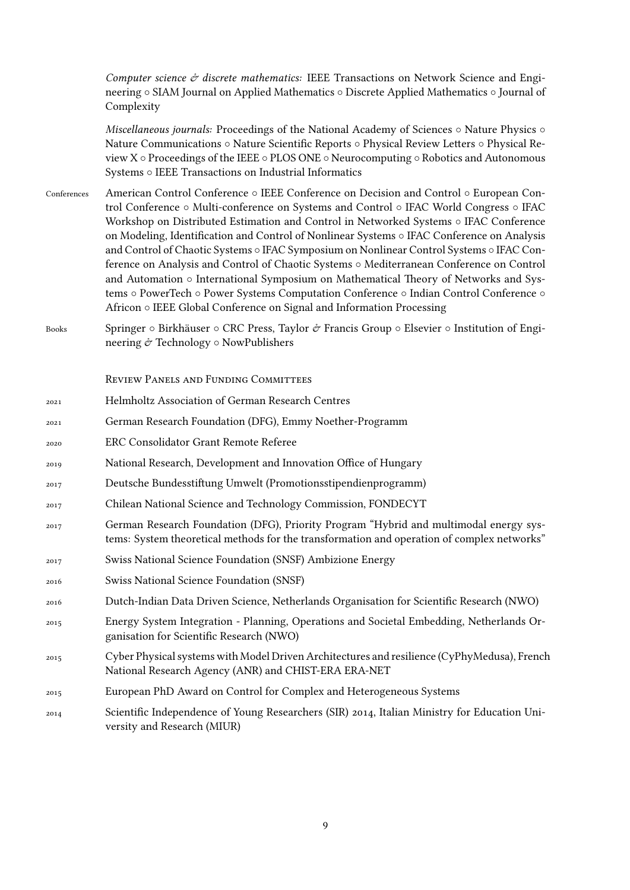*Computer science & discrete mathematics:* IEEE Transactions on Network Science and Engineering *◦* SIAM Journal on Applied Mathematics *◦* Discrete Applied Mathematics *◦* Journal of Complexity

*Miscellaneous journals:* Proceedings of the National Academy of Sciences *◦* Nature Physics *◦* Nature Communications *◦* Nature Scientific Reports *◦* Physical Review Letters *◦* Physical Review X *◦* Proceedings of the IEEE *◦* PLOS ONE *◦* Neurocomputing *◦* Robotics and Autonomous Systems *◦* IEEE Transactions on Industrial Informatics

- Conferences American Control Conference *◦* IEEE Conference on Decision and Control *◦* European Control Conference *◦* Multi-conference on Systems and Control *◦* IFAC World Congress *◦* IFAC Workshop on Distributed Estimation and Control in Networked Systems *◦* IFAC Conference on Modeling, Identification and Control of Nonlinear Systems *◦* IFAC Conference on Analysis and Control of Chaotic Systems *◦* IFAC Symposium on Nonlinear Control Systems *◦* IFAC Conference on Analysis and Control of Chaotic Systems *◦* Mediterranean Conference on Control and Automation *◦* International Symposium on Mathematical Theory of Networks and Systems *◦* PowerTech *◦* Power Systems Computation Conference *◦* Indian Control Conference *◦* Africon *◦* IEEE Global Conference on Signal and Information Processing
- Books Springer *◦* Birkhäuser *◦* CRC Press, Taylor & Francis Group *◦* Elsevier *◦* Institution of Engineering & Technology *◦* NowPublishers

Review Panels and Funding Committees

- 2021 Helmholtz Association of German Research Centres
- 2021 German Research Foundation (DFG), Emmy Noether-Programm
- 2020 ERC Consolidator Grant Remote Referee
- 2019 National Research, Development and Innovation Office of Hungary
- 2017 Deutsche Bundesstiftung Umwelt (Promotionsstipendienprogramm)
- 2017 Chilean National Science and Technology Commission, FONDECYT
- 2017 German Research Foundation (DFG), Priority Program "Hybrid and multimodal energy systems: System theoretical methods for the transformation and operation of complex networks"
- 2017 Swiss National Science Foundation (SNSF) Ambizione Energy
- 2016 Swiss National Science Foundation (SNSF)
- 2016 Dutch-Indian Data Driven Science, Netherlands Organisation for Scientific Research (NWO)
- 2015 Energy System Integration Planning, Operations and Societal Embedding, Netherlands Organisation for Scientific Research (NWO)
- 2015 Cyber Physical systems with Model Driven Architectures and resilience (CyPhyMedusa), French National Research Agency (ANR) and CHIST-ERA ERA-NET
- 2015 European PhD Award on Control for Complex and Heterogeneous Systems
- 2014 Scientific Independence of Young Researchers (SIR) 2014, Italian Ministry for Education University and Research (MIUR)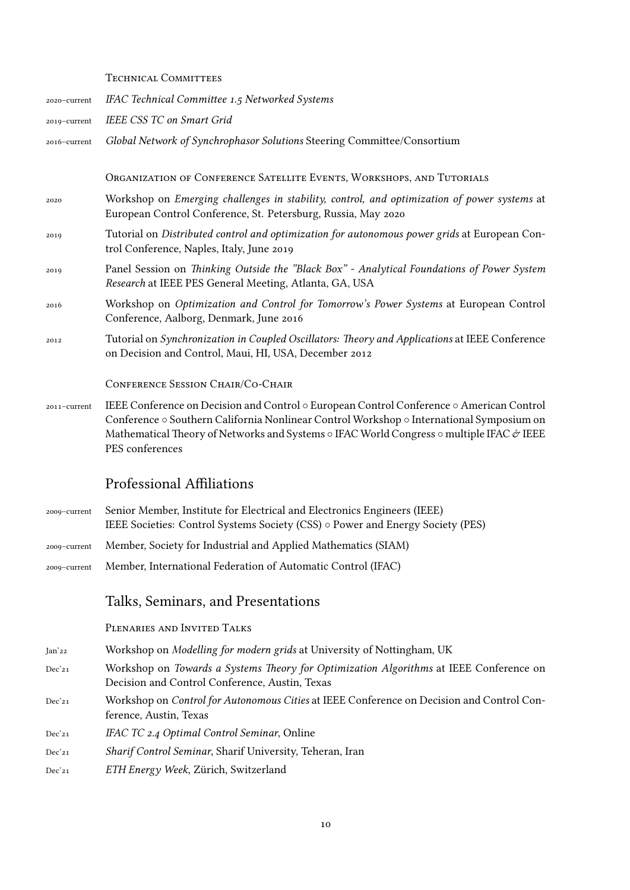#### TECHNICAL COMMITTEES

| 2020-current | IFAC Technical Committee 1.5 Networked Systems                                                                                                                                                                                                                                                                              |
|--------------|-----------------------------------------------------------------------------------------------------------------------------------------------------------------------------------------------------------------------------------------------------------------------------------------------------------------------------|
| 2019-current | IEEE CSS TC on Smart Grid                                                                                                                                                                                                                                                                                                   |
| 2016-current | Global Network of Synchrophasor Solutions Steering Committee/Consortium                                                                                                                                                                                                                                                     |
|              |                                                                                                                                                                                                                                                                                                                             |
|              | ORGANIZATION OF CONFERENCE SATELLITE EVENTS, WORKSHOPS, AND TUTORIALS                                                                                                                                                                                                                                                       |
| 2020         | Workshop on Emerging challenges in stability, control, and optimization of power systems at<br>European Control Conference, St. Petersburg, Russia, May 2020                                                                                                                                                                |
| 2019         | Tutorial on Distributed control and optimization for autonomous power grids at European Con-<br>trol Conference, Naples, Italy, June 2019                                                                                                                                                                                   |
| 2019         | Panel Session on Thinking Outside the "Black Box" - Analytical Foundations of Power System<br>Research at IEEE PES General Meeting, Atlanta, GA, USA                                                                                                                                                                        |
| 2016         | Workshop on Optimization and Control for Tomorrow's Power Systems at European Control<br>Conference, Aalborg, Denmark, June 2016                                                                                                                                                                                            |
| 2012         | Tutorial on Synchronization in Coupled Oscillators: Theory and Applications at IEEE Conference<br>on Decision and Control, Maui, HI, USA, December 2012                                                                                                                                                                     |
|              | CONFERENCE SESSION CHAIR/CO-CHAIR                                                                                                                                                                                                                                                                                           |
| 2011-current | IEEE Conference on Decision and Control $\circ$ European Control Conference $\circ$ American Control<br>Conference o Southern California Nonlinear Control Workshop o International Symposium on<br>Mathematical Theory of Networks and Systems o IFAC World Congress o multiple IFAC $\mathcal{O}$ IEEE<br>PES conferences |

## Professional Affiliations

- 2009–current Senior Member, Institute for Electrical and Electronics Engineers (IEEE) IEEE Societies: Control Systems Society (CSS) *◦* Power and Energy Society (PES)
- 2009–current Member, Society for Industrial and Applied Mathematics (SIAM)
- 2009–current Member, International Federation of Automatic Control (IFAC)

## Talks, Seminars, and Presentations

Plenaries and Invited Talks

- Jan'22 Workshop on *Modelling for modern grids* at University of Nottingham, UK
- Dec'21 Workshop on *Towards a Systems Theory for Optimization Algorithms* at IEEE Conference on Decision and Control Conference, Austin, Texas
- Dec'21 Workshop on *Control for Autonomous Cities* at IEEE Conference on Decision and Control Conference, Austin, Texas
- Dec'21 *IFAC TC 2.4 Optimal Control Seminar*, Online
- Dec'21 *Sharif Control Seminar*, Sharif University, Teheran, Iran
- Dec'21 *ETH Energy Week*, Zürich, Switzerland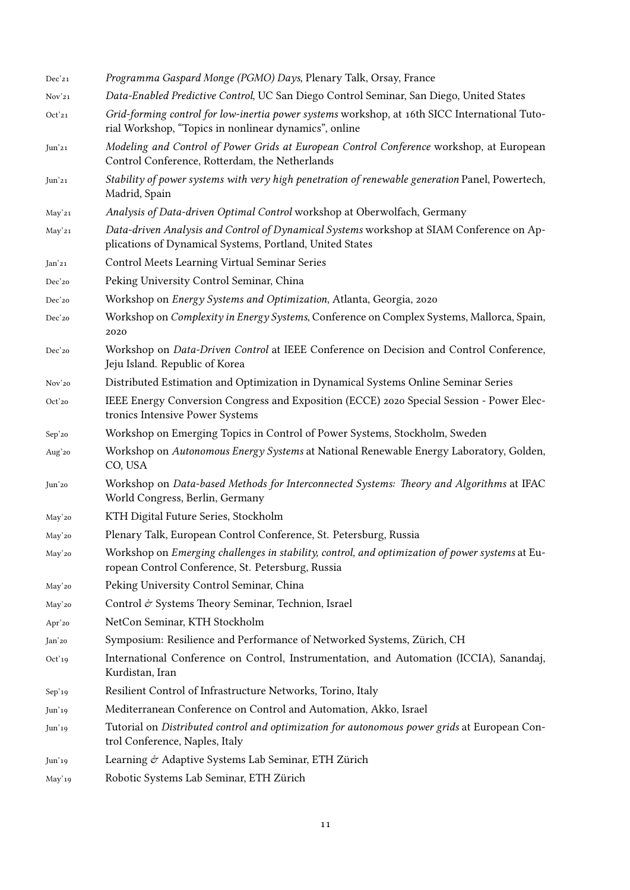| Dec'21            | Programma Gaspard Monge (PGMO) Days, Plenary Talk, Orsay, France                                                                                       |
|-------------------|--------------------------------------------------------------------------------------------------------------------------------------------------------|
| Nov <sup>21</sup> | Data-Enabled Predictive Control, UC San Diego Control Seminar, San Diego, United States                                                                |
| Oct'21            | Grid-forming control for low-inertia power systems workshop, at 16th SICC International Tuto-<br>rial Workshop, "Topics in nonlinear dynamics", online |
| Jun'21            | Modeling and Control of Power Grids at European Control Conference workshop, at European<br>Control Conference, Rotterdam, the Netherlands             |
| Jun'21            | Stability of power systems with very high penetration of renewable generation Panel, Powertech,<br>Madrid, Spain                                       |
| May'21            | Analysis of Data-driven Optimal Control workshop at Oberwolfach, Germany                                                                               |
| May'21            | Data-driven Analysis and Control of Dynamical Systems workshop at SIAM Conference on Ap-<br>plications of Dynamical Systems, Portland, United States   |
| Jan'21            | Control Meets Learning Virtual Seminar Series                                                                                                          |
| Dec'20            | Peking University Control Seminar, China                                                                                                               |
| Dec'20            | Workshop on Energy Systems and Optimization, Atlanta, Georgia, 2020                                                                                    |
| Dec'20            | Workshop on Complexity in Energy Systems, Conference on Complex Systems, Mallorca, Spain,<br>2020                                                      |
| Dec'20            | Workshop on Data-Driven Control at IEEE Conference on Decision and Control Conference,<br>Jeju Island. Republic of Korea                               |
| Nov'20            | Distributed Estimation and Optimization in Dynamical Systems Online Seminar Series                                                                     |
| Oct'20            | IEEE Energy Conversion Congress and Exposition (ECCE) 2020 Special Session - Power Elec-<br>tronics Intensive Power Systems                            |
| Sep'20            | Workshop on Emerging Topics in Control of Power Systems, Stockholm, Sweden                                                                             |
| Aug'20            | Workshop on Autonomous Energy Systems at National Renewable Energy Laboratory, Golden,<br>CO, USA                                                      |
| Jun'20            | Workshop on Data-based Methods for Interconnected Systems: Theory and Algorithms at IFAC<br>World Congress, Berlin, Germany                            |
| May'20            | KTH Digital Future Series, Stockholm                                                                                                                   |
| May'20            | Plenary Talk, European Control Conference, St. Petersburg, Russia                                                                                      |
| May'20            | Workshop on Emerging challenges in stability, control, and optimization of power systems at Eu-<br>ropean Control Conference, St. Petersburg, Russia   |
| May'20            | Peking University Control Seminar, China                                                                                                               |
| May'20            | Control & Systems Theory Seminar, Technion, Israel                                                                                                     |
| Apr'20            | NetCon Seminar, KTH Stockholm                                                                                                                          |
| Jan'20            | Symposium: Resilience and Performance of Networked Systems, Zürich, CH                                                                                 |
| Oct'19            | International Conference on Control, Instrumentation, and Automation (ICCIA), Sanandaj,<br>Kurdistan, Iran                                             |
| Sep'19            | Resilient Control of Infrastructure Networks, Torino, Italy                                                                                            |
| Jun'19            | Mediterranean Conference on Control and Automation, Akko, Israel                                                                                       |
| Jun'19            | Tutorial on Distributed control and optimization for autonomous power grids at European Con-<br>trol Conference, Naples, Italy                         |
| Jun <sup>19</sup> | Learning & Adaptive Systems Lab Seminar, ETH Zürich                                                                                                    |
| May'19            | Robotic Systems Lab Seminar, ETH Zürich                                                                                                                |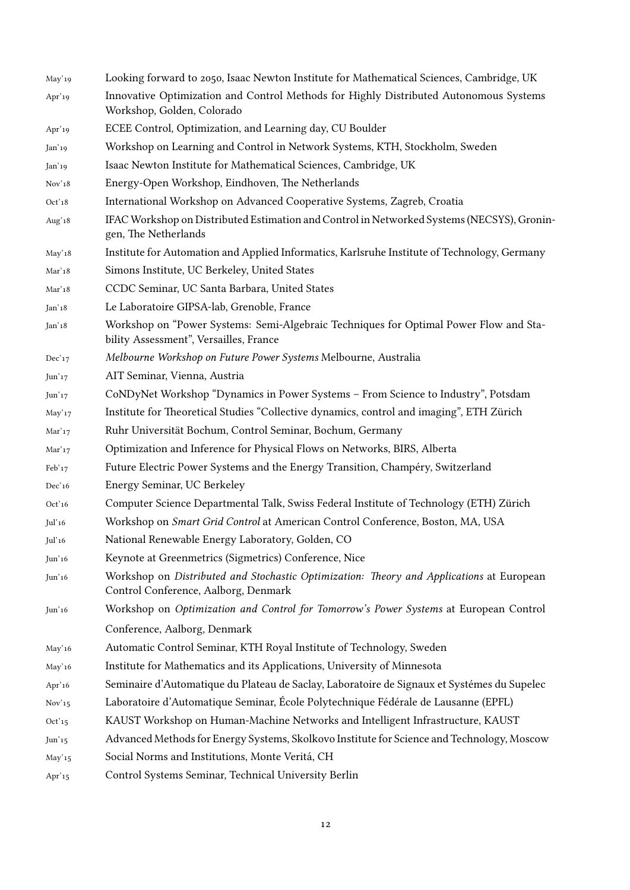May'19 Looking forward to 2050, Isaac Newton Institute for Mathematical Sciences, Cambridge, UK Apr'19 Innovative Optimization and Control Methods for Highly Distributed Autonomous Systems Workshop, Golden, Colorado Apr'19 ECEE Control, Optimization, and Learning day, CU Boulder Jan'19 Workshop on Learning and Control in Network Systems, KTH, Stockholm, Sweden Jan'19 Isaac Newton Institute for Mathematical Sciences, Cambridge, UK Nov'18 Energy-Open Workshop, Eindhoven, The Netherlands Oct'18 International Workshop on Advanced Cooperative Systems, Zagreb, Croatia Aug'<sub>18</sub> IFAC Workshop on Distributed Estimation and Control in Networked Systems (NECSYS), Groningen, The Netherlands May'18 Institute for Automation and Applied Informatics, Karlsruhe Institute of Technology, Germany Mar'18 Simons Institute, UC Berkeley, United States Mar'18 CCDC Seminar, UC Santa Barbara, United States Jan'18 Le Laboratoire GIPSA-lab, Grenoble, France Jan'18 Workshop on "Power Systems: Semi-Algebraic Techniques for Optimal Power Flow and Stability Assessment", Versailles, France Dec'17 *Melbourne Workshop on Future Power Systems* Melbourne, Australia Jun'17 AIT Seminar, Vienna, Austria Jun'17 CoNDyNet Workshop "Dynamics in Power Systems – From Science to Industry", Potsdam May'17 Institute for Theoretical Studies "Collective dynamics, control and imaging", ETH Zürich Mar'17 Ruhr Universität Bochum, Control Seminar, Bochum, Germany Mar'17 Optimization and Inference for Physical Flows on Networks, BIRS, Alberta Feb'17 Future Electric Power Systems and the Energy Transition, Champéry, Switzerland Dec'<sup>16</sup> Energy Seminar, UC Berkeley Oct'16 Computer Science Departmental Talk, Swiss Federal Institute of Technology (ETH) Zürich Jul'16 Workshop on *Smart Grid Control* at American Control Conference, Boston, MA, USA Jul'16 National Renewable Energy Laboratory, Golden, CO Jun'16 Keynote at Greenmetrics (Sigmetrics) Conference, Nice Jun'16 Workshop on *Distributed and Stochastic Optimization: Theory and Applications* at European Control Conference, Aalborg, Denmark Jun'16 Workshop on *Optimization and Control for Tomorrow's Power Systems* at European Control Conference, Aalborg, Denmark May'16 Automatic Control Seminar, KTH Royal Institute of Technology, Sweden May'16 Institute for Mathematics and its Applications, University of Minnesota Apr'16 Seminaire d'Automatique du Plateau de Saclay, Laboratoire de Signaux et Systémes du Supelec Nov'15 Laboratoire d'Automatique Seminar, École Polytechnique Fédérale de Lausanne (EPFL) Oct'15 KAUST Workshop on Human-Machine Networks and Intelligent Infrastructure, KAUST Jun'15 Advanced Methods for Energy Systems, Skolkovo Institute for Science and Technology, Moscow May'15 Social Norms and Institutions, Monte Veritá, CH Apr'15 Control Systems Seminar, Technical University Berlin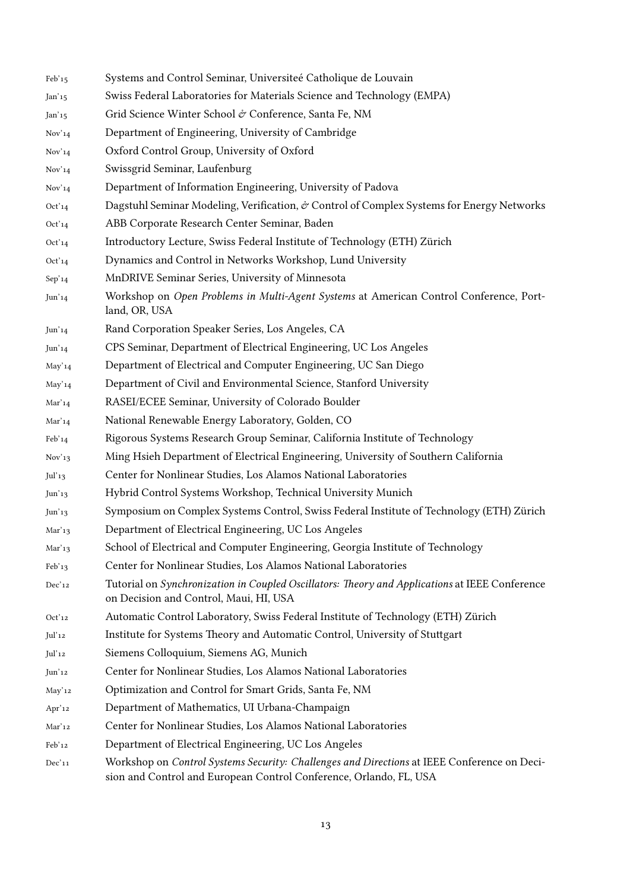| Feb'15                 | Systems and Control Seminar, Universiteé Catholique de Louvain                                                                                                    |
|------------------------|-------------------------------------------------------------------------------------------------------------------------------------------------------------------|
| $Jan'15$               | Swiss Federal Laboratories for Materials Science and Technology (EMPA)                                                                                            |
| Jan'15                 | Grid Science Winter School & Conference, Santa Fe, NM                                                                                                             |
| Nov <sup>'</sup> 14    | Department of Engineering, University of Cambridge                                                                                                                |
| Nov <sup>'</sup> 14    | Oxford Control Group, University of Oxford                                                                                                                        |
| Nov <sup>'</sup> 14    | Swissgrid Seminar, Laufenburg                                                                                                                                     |
| Nov <sup>'</sup> 14    | Department of Information Engineering, University of Padova                                                                                                       |
| Oct'14                 | Dagstuhl Seminar Modeling, Verification, & Control of Complex Systems for Energy Networks                                                                         |
| Oct'14                 | ABB Corporate Research Center Seminar, Baden                                                                                                                      |
| Oct'14                 | Introductory Lecture, Swiss Federal Institute of Technology (ETH) Zürich                                                                                          |
| Oct'14                 | Dynamics and Control in Networks Workshop, Lund University                                                                                                        |
| Sep'14                 | MnDRIVE Seminar Series, University of Minnesota                                                                                                                   |
| Jun'14                 | Workshop on Open Problems in Multi-Agent Systems at American Control Conference, Port-<br>land, OR, USA                                                           |
| Jun <sub>14</sub>      | Rand Corporation Speaker Series, Los Angeles, CA                                                                                                                  |
| Jun'14                 | CPS Seminar, Department of Electrical Engineering, UC Los Angeles                                                                                                 |
| May'14                 | Department of Electrical and Computer Engineering, UC San Diego                                                                                                   |
| May'14                 | Department of Civil and Environmental Science, Stanford University                                                                                                |
| Mar'14                 | RASEI/ECEE Seminar, University of Colorado Boulder                                                                                                                |
| Mar'14                 | National Renewable Energy Laboratory, Golden, CO                                                                                                                  |
| ${\rm Feb'14}$         | Rigorous Systems Research Group Seminar, California Institute of Technology                                                                                       |
| Nov <sup>'</sup> 13    | Ming Hsieh Department of Electrical Engineering, University of Southern California                                                                                |
| Jul'13                 | Center for Nonlinear Studies, Los Alamos National Laboratories                                                                                                    |
| Jun'13                 | Hybrid Control Systems Workshop, Technical University Munich                                                                                                      |
| $\text{Jun}$ '13       | Symposium on Complex Systems Control, Swiss Federal Institute of Technology (ETH) Zürich                                                                          |
| Mar'13                 | Department of Electrical Engineering, UC Los Angeles                                                                                                              |
| Mar'13                 | School of Electrical and Computer Engineering, Georgia Institute of Technology                                                                                    |
| Feb'13                 | Center for Nonlinear Studies, Los Alamos National Laboratories                                                                                                    |
| Dec'12                 | Tutorial on Synchronization in Coupled Oscillators: Theory and Applications at IEEE Conference<br>on Decision and Control, Maui, HI, USA                          |
| Oct'12                 | Automatic Control Laboratory, Swiss Federal Institute of Technology (ETH) Zürich                                                                                  |
| Jul'12                 | Institute for Systems Theory and Automatic Control, University of Stuttgart                                                                                       |
| Jul'12                 | Siemens Colloquium, Siemens AG, Munich                                                                                                                            |
| $\text{Jun}\text{'12}$ | Center for Nonlinear Studies, Los Alamos National Laboratories                                                                                                    |
| May'12                 | Optimization and Control for Smart Grids, Santa Fe, NM                                                                                                            |
| Apr'12                 | Department of Mathematics, UI Urbana-Champaign                                                                                                                    |
| Mar'12                 | Center for Nonlinear Studies, Los Alamos National Laboratories                                                                                                    |
| Feb'12                 | Department of Electrical Engineering, UC Los Angeles                                                                                                              |
| Dec'11                 | Workshop on Control Systems Security: Challenges and Directions at IEEE Conference on Deci-<br>sion and Control and European Control Conference, Orlando, FL, USA |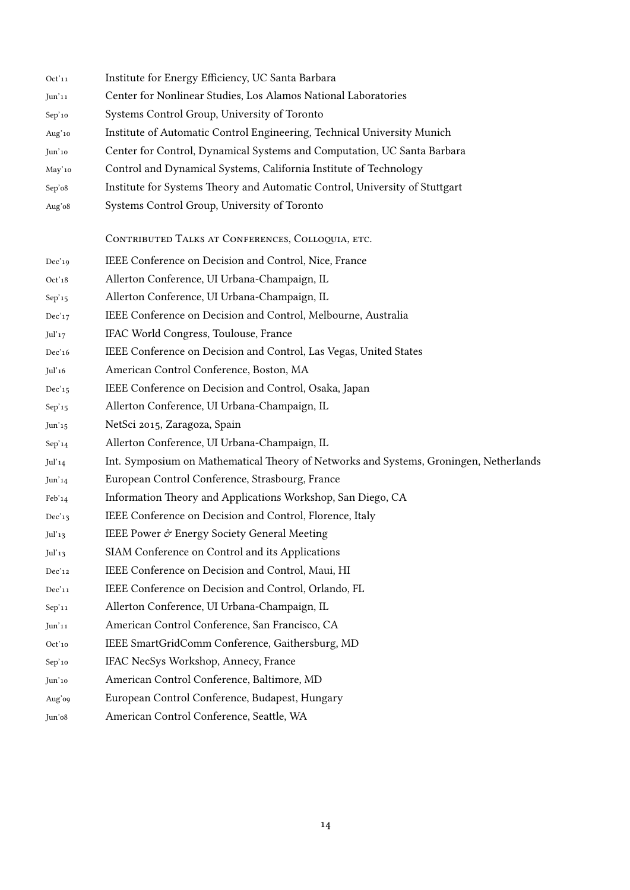| Oct'11            | Institute for Energy Efficiency, UC Santa Barbara                                     |
|-------------------|---------------------------------------------------------------------------------------|
| Jun'11            | Center for Nonlinear Studies, Los Alamos National Laboratories                        |
| Sep'10            | Systems Control Group, University of Toronto                                          |
| Aug'10            | Institute of Automatic Control Engineering, Technical University Munich               |
| Jun'10            | Center for Control, Dynamical Systems and Computation, UC Santa Barbara               |
| May'10            | Control and Dynamical Systems, California Institute of Technology                     |
| Sep'o8            | Institute for Systems Theory and Automatic Control, University of Stuttgart           |
| Aug'o8            | Systems Control Group, University of Toronto                                          |
|                   |                                                                                       |
|                   | CONTRIBUTED TALKS AT CONFERENCES, COLLOQUIA, ETC.                                     |
| Dec'19            | IEEE Conference on Decision and Control, Nice, France                                 |
| Oct'18            | Allerton Conference, UI Urbana-Champaign, IL                                          |
| Sep'15            | Allerton Conference, UI Urbana-Champaign, IL                                          |
| Dec'17            | IEEE Conference on Decision and Control, Melbourne, Australia                         |
| Jul'17            | IFAC World Congress, Toulouse, France                                                 |
| Dec'16            | IEEE Conference on Decision and Control, Las Vegas, United States                     |
| $\rm{Jul'16}$     | American Control Conference, Boston, MA                                               |
| Dec'15            | IEEE Conference on Decision and Control, Osaka, Japan                                 |
| Sep'15            | Allerton Conference, UI Urbana-Champaign, IL                                          |
| Jun'15            | NetSci 2015, Zaragoza, Spain                                                          |
| Sep'14            | Allerton Conference, UI Urbana-Champaign, IL                                          |
| Jul'14            | Int. Symposium on Mathematical Theory of Networks and Systems, Groningen, Netherlands |
| Jun <sub>14</sub> | European Control Conference, Strasbourg, France                                       |
| Feb'14            | Information Theory and Applications Workshop, San Diego, CA                           |
| Dec'13            | IEEE Conference on Decision and Control, Florence, Italy                              |
| Jul'13            | IEEE Power & Energy Society General Meeting                                           |
| Jul'13            | SIAM Conference on Control and its Applications                                       |
| Dec'12            | IEEE Conference on Decision and Control, Maui, HI                                     |
| Dec'11            | IEEE Conference on Decision and Control, Orlando, FL                                  |
| Sep'11            | Allerton Conference, UI Urbana-Champaign, IL                                          |
| Jun'11            | American Control Conference, San Francisco, CA                                        |
| Oct'10            | IEEE SmartGridComm Conference, Gaithersburg, MD                                       |
| Sep'10            | IFAC NecSys Workshop, Annecy, France                                                  |
| Jun'10            | American Control Conference, Baltimore, MD                                            |
| Aug'o9            | European Control Conference, Budapest, Hungary                                        |
| Jun'o8            | American Control Conference, Seattle, WA                                              |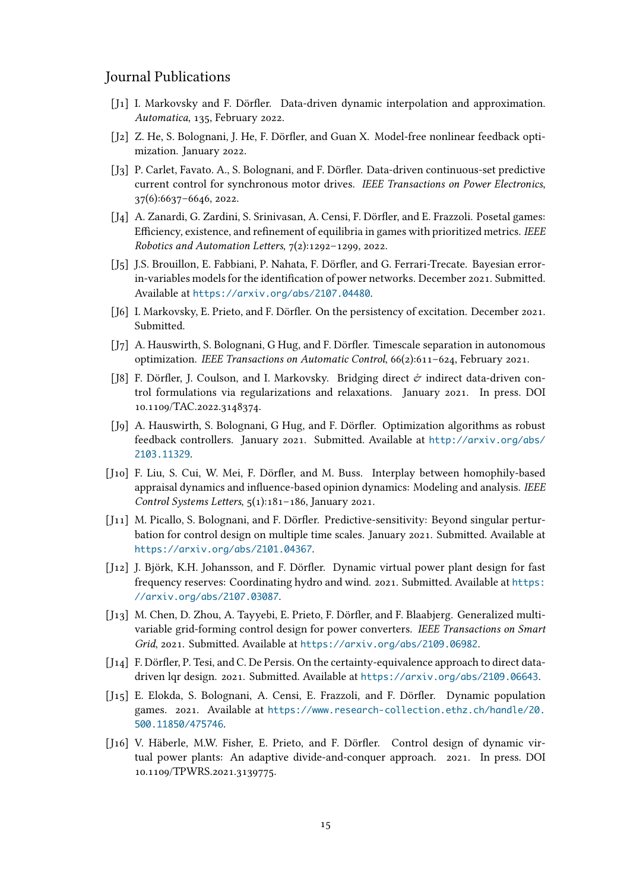## Journal Publications

- [J1] I. Markovsky and F. Dörfler. Data-driven dynamic interpolation and approximation. *Automatica*, 135, February 2022.
- [J2] Z. He, S. Bolognani, J. He, F. Dörfler, and Guan X. Model-free nonlinear feedback optimization. January 2022.
- [J3] P. Carlet, Favato. A., S. Bolognani, and F. Dörfler. Data-driven continuous-set predictive current control for synchronous motor drives. *IEEE Transactions on Power Electronics*, 37(6):6637–6646, 2022.
- [J4] A. Zanardi, G. Zardini, S. Srinivasan, A. Censi, F. Dörfler, and E. Frazzoli. Posetal games: Efficiency, existence, and refinement of equilibria in games with prioritized metrics. *IEEE Robotics and Automation Letters*, 7(2):1292–1299, 2022.
- [J5] J.S. Brouillon, E. Fabbiani, P. Nahata, F. Dörfler, and G. Ferrari-Trecate. Bayesian errorin-variables models for the identification of power networks. December 2021. Submitted. Available at https://arxiv.org/abs/2107.04480.
- [J6] I. Markovsky, E. Prieto, and F. Dörfler. On the persistency of excitation. December 2021. Submitted.
- [J7] A. Hauswirt[h, S. Bolognani, G Hug, and F. Dörfler.](https://arxiv.org/abs/2107.04480) Timescale separation in autonomous optimization. *IEEE Transactions on Automatic Control*, 66(2):611–624, February 2021.
- [J8] F. Dörfler, J. Coulson, and I. Markovsky. Bridging direct  $\dot{\sigma}$  indirect data-driven control formulations via regularizations and relaxations. January 2021. In press. DOI 10.1109/TAC.2022.3148374.
- [J9] A. Hauswirth, S. Bolognani, G Hug, and F. Dörfler. Optimization algorithms as robust feedback controllers. January 2021. Submitted. Available at http://arxiv.org/abs/ 2103.11329.
- [J10] F. Liu, S. Cui, W. Mei, F. Dörfler, and M. Buss. Interplay between homophily-based appraisal dynamics and influence-based opinion dynamics: Mo[deling and analysis.](http://arxiv.org/abs/2103.11329) *IEEE [Control Syste](http://arxiv.org/abs/2103.11329)ms Letters*, 5(1):181–186, January 2021.
- [J11] M. Picallo, S. Bolognani, and F. Dörfler. Predictive-sensitivity: Beyond singular perturbation for control design on multiple time scales. January 2021. Submitted. Available at https://arxiv.org/abs/2101.04367.
- [J12] J. Björk, K.H. Johansson, and F. Dörfler. Dynamic virtual power plant design for fast frequency reserves: Coordinating hydro and wind. 2021. Submitted. Available at https: [//arxiv.org/abs/2107.03087](https://arxiv.org/abs/2101.04367).
- [J13] M. Chen, D. Zhou, A. Tayyebi, E. Prieto, F. Dörfler, and F. Blaabjerg. Generalized multivariable grid-forming control design for power converters. *IEEE Transactions o[n Smart](https://arxiv.org/abs/2107.03087) Grid*[, 2021. Submitted. Availabl](https://arxiv.org/abs/2107.03087)e at https://arxiv.org/abs/2109.06982.
- [J14] F. Dörfler, P. Tesi, and C. De Persis. On the certainty-equivalence approach to direct datadriven lqr design. 2021. Submitted. Available at https://arxiv.org/abs/2109.06643.
- [J15] E. Elokda, S. Bolognani, A. Censi[, E. Frazzoli, and F. Dörfler. Dynam](https://arxiv.org/abs/2109.06982)ic population games. 2021. Available at https://www.research-collection.ethz.ch/handle/20. 500.11850/475746.
- [J16] V. Häberle, M.W. Fisher, E. Prieto, and F. Dörfler. Control design of dynamic virtual power plants: An ada[ptive divide-and-conquer approach. 2021. In press. DOI](https://www.research-collection.ethz.ch/handle/20.500.11850/475746) [10.1109/TPWRS.202](https://www.research-collection.ethz.ch/handle/20.500.11850/475746)1.3139775.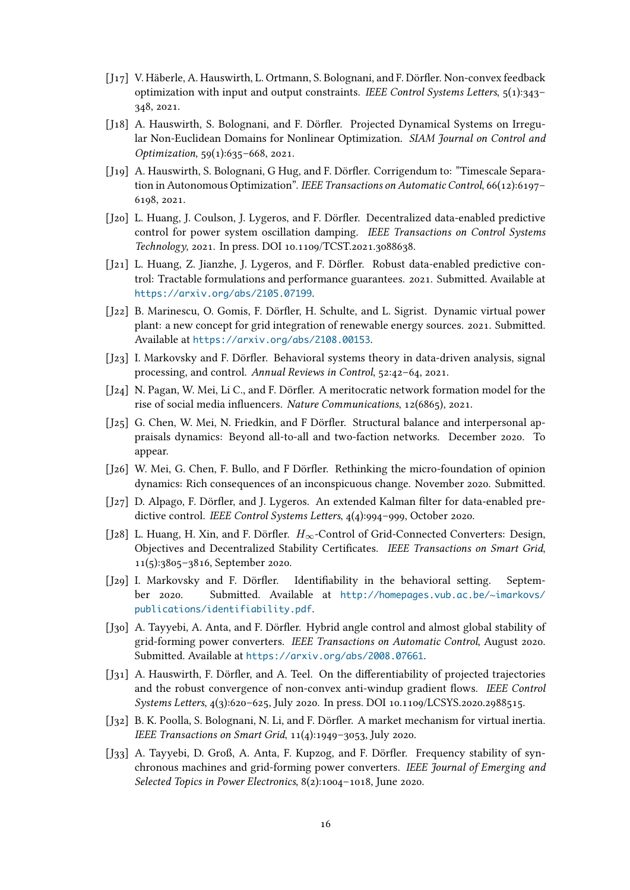- [J17] V. Häberle, A. Hauswirth, L. Ortmann, S. Bolognani, and F. Dörfler. Non-convex feedback optimization with input and output constraints. *IEEE Control Systems Letters*, 5(1):343– 348, 2021.
- [J18] A. Hauswirth, S. Bolognani, and F. Dörfler. Projected Dynamical Systems on Irregular Non-Euclidean Domains for Nonlinear Optimization. *SIAM Journal on Control and Optimization*, 59(1):635–668, 2021.
- [J19] A. Hauswirth, S. Bolognani, G Hug, and F. Dörfler. Corrigendum to: "Timescale Separation in Autonomous Optimization". *IEEE Transactions on Automatic Control*, 66(12):6197– 6198, 2021.
- [J20] L. Huang, J. Coulson, J. Lygeros, and F. Dörfler. Decentralized data-enabled predictive control for power system oscillation damping. *IEEE Transactions on Control Systems Technology*, 2021. In press. DOI 10.1109/TCST.2021.3088638.
- [J21] L. Huang, Z. Jianzhe, J. Lygeros, and F. Dörfler. Robust data-enabled predictive control: Tractable formulations and performance guarantees. 2021. Submitted. Available at https://arxiv.org/abs/2105.07199.
- [J22] B. Marinescu, O. Gomis, F. Dörfler, H. Schulte, and L. Sigrist. Dynamic virtual power plant: a new concept for grid integration of renewable energy sources. 2021. Submitted. Available at [https://arxiv.org/abs/](https://arxiv.org/abs/2105.07199)2108.00153.
- [J23] I. Markovsky and F. Dörfler. Behavioral systems theory in data-driven analysis, signal processing, and control. *Annual Reviews in Control*, 52:42–64, 2021.
- [J24] N. Pagan, [W. Mei, Li C., and F. Dörfler. A meritocra](https://arxiv.org/abs/2108.00153)tic network formation model for the rise of social media influencers. *Nature Communications*, 12(6865), 2021.
- [J25] G. Chen, W. Mei, N. Friedkin, and F Dörfler. Structural balance and interpersonal appraisals dynamics: Beyond all-to-all and two-faction networks. December 2020. To appear.
- [J26] W. Mei, G. Chen, F. Bullo, and F Dörfler. Rethinking the micro-foundation of opinion dynamics: Rich consequences of an inconspicuous change. November 2020. Submitted.
- [J27] D. Alpago, F. Dörfler, and J. Lygeros. An extended Kalman filter for data-enabled predictive control. *IEEE Control Systems Letters*, 4(4):994–999, October 2020.
- [J28] L. Huang, H. Xin, and F. Dörfler. *H∞*-Control of Grid-Connected Converters: Design, Objectives and Decentralized Stability Certificates. *IEEE Transactions on Smart Grid*, 11(5):3805–3816, September 2020.
- [J29] I. Markovsky and F. Dörfler. Identifiability in the behavioral setting. September 2020. Submitted. Available at http://homepages.vub.ac.be/~imarkovs/ publications/identifiability.pdf.
- [J30] A. Tayyebi, A. Anta, and F. Dörfler. Hybrid angle control and almost global stability of grid-forming power converters. *IEEE Tran[sactions on Automatic Control](http://homepages.vub.ac.be/~imarkovs/publications/identifiability.pdf)*, August 2020. [Submitted. Available at](http://homepages.vub.ac.be/~imarkovs/publications/identifiability.pdf) https://arxiv.org/abs/2008.07661.
- [J31] A. Hauswirth, F. Dörfler, and A. Teel. On the differentiability of projected trajectories and the robust convergence of non-convex anti-windup gradient flows. *IEEE Control Systems Letters*, 4(3):620[–625, July 2020. In press. DOI 10.1109](https://arxiv.org/abs/2008.07661)/LCSYS.2020.2988515.
- [J32] B. K. Poolla, S. Bolognani, N. Li, and F. Dörfler. A market mechanism for virtual inertia. *IEEE Transactions on Smart Grid*, 11(4):1949–3053, July 2020.
- [J33] A. Tayyebi, D. Groß, A. Anta, F. Kupzog, and F. Dörfler. Frequency stability of synchronous machines and grid-forming power converters. *IEEE Journal of Emerging and Selected Topics in Power Electronics*, 8(2):1004–1018, June 2020.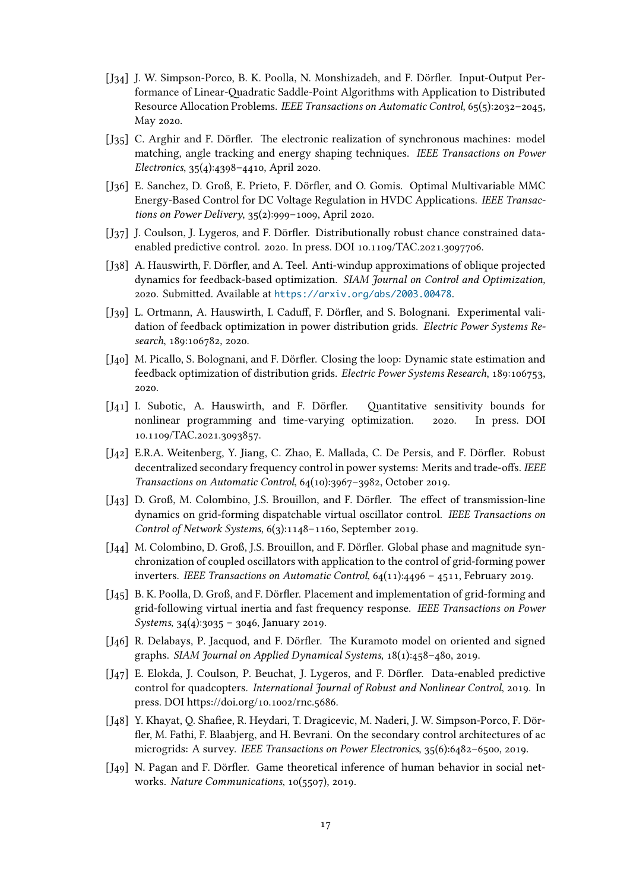- [J34] J. W. Simpson-Porco, B. K. Poolla, N. Monshizadeh, and F. Dörfler. Input-Output Performance of Linear-Quadratic Saddle-Point Algorithms with Application to Distributed Resource Allocation Problems. *IEEE Transactions on Automatic Control*, 65(5):2032–2045, May 2020.
- [J<sub>35</sub>] C. Arghir and F. Dörfler. The electronic realization of synchronous machines: model matching, angle tracking and energy shaping techniques. *IEEE Transactions on Power Electronics*, 35(4):4398–4410, April 2020.
- [J36] E. Sanchez, D. Groß, E. Prieto, F. Dörfler, and O. Gomis. Optimal Multivariable MMC Energy-Based Control for DC Voltage Regulation in HVDC Applications. *IEEE Transactions on Power Delivery*, 35(2):999–1009, April 2020.
- [J<sub>37</sub>] J. Coulson, J. Lygeros, and F. Dörfler. Distributionally robust chance constrained dataenabled predictive control. 2020. In press. DOI 10.1109/TAC.2021.3097706.
- [J38] A. Hauswirth, F. Dörfler, and A. Teel. Anti-windup approximations of oblique projected dynamics for feedback-based optimization. *SIAM Journal on Control and Optimization*, 2020. Submitted. Available at https://arxiv.org/abs/2003.00478.
- [J39] L. Ortmann, A. Hauswirth, I. Caduff, F. Dörfler, and S. Bolognani. Experimental validation of feedback optimization in power distribution grids. *Electric Power Systems Research*, 189:106782, 2020.
- [J40] M. Picallo, S. Bolognani, and F. Dörfler. Closing the loop: Dynamic state estimation and feedback optimization of distribution grids. *Electric Power Systems Research*, 189:106753, 2020.
- [J41] I. Subotic, A. Hauswirth, and F. Dörfler. Quantitative sensitivity bounds for nonlinear programming and time-varying optimization. 2020. In press. DOI 10.1109/TAC.2021.3093857.
- [J42] E.R.A. Weitenberg, Y. Jiang, C. Zhao, E. Mallada, C. De Persis, and F. Dörfler. Robust decentralized secondary frequency control in power systems: Merits and trade-offs. *IEEE Transactions on Automatic Control*, 64(10):3967–3982, October 2019.
- [J43] D. Groß, M. Colombino, J.S. Brouillon, and F. Dörfler. The effect of transmission-line dynamics on grid-forming dispatchable virtual oscillator control. *IEEE Transactions on Control of Network Systems*, 6(3):1148–1160, September 2019.
- [J44] M. Colombino, D. Groß, J.S. Brouillon, and F. Dörfler. Global phase and magnitude synchronization of coupled oscillators with application to the control of grid-forming power inverters. *IEEE Transactions on Automatic Control*, 64(11):4496 – 4511, February 2019.
- [J45] B. K. Poolla, D. Groß, and F. Dörfler. Placement and implementation of grid-forming and grid-following virtual inertia and fast frequency response. *IEEE Transactions on Power Systems*, 34(4):3035 – 3046, January 2019.
- [J46] R. Delabays, P. Jacquod, and F. Dörfler. The Kuramoto model on oriented and signed graphs. *SIAM Journal on Applied Dynamical Systems*, 18(1):458–480, 2019.
- [J47] E. Elokda, J. Coulson, P. Beuchat, J. Lygeros, and F. Dörfler. Data-enabled predictive control for quadcopters. *International Journal of Robust and Nonlinear Control*, 2019. In press. DOI https://doi.org/10.1002/rnc.5686.
- [J48] Y. Khayat, Q. Shafiee, R. Heydari, T. Dragicevic, M. Naderi, J. W. Simpson-Porco, F. Dörfler, M. Fathi, F. Blaabjerg, and H. Bevrani. On the secondary control architectures of ac microgrids: A survey. *IEEE Transactions on Power Electronics*, 35(6):6482–6500, 2019.
- [J49] N. Pagan and F. Dörfler. Game theoretical inference of human behavior in social networks. *Nature Communications*, 10(5507), 2019.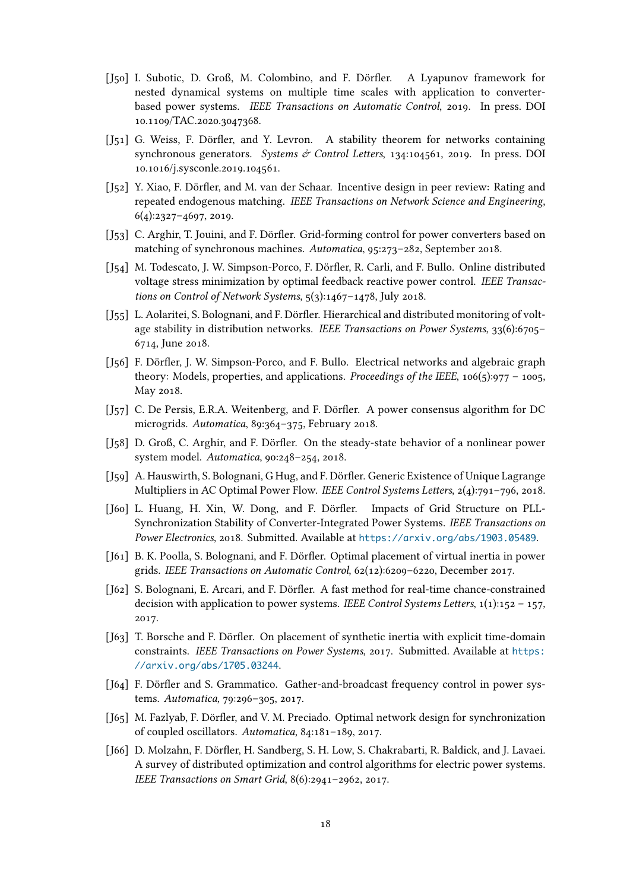- [J50] I. Subotic, D. Groß, M. Colombino, and F. Dörfler. A Lyapunov framework for nested dynamical systems on multiple time scales with application to converterbased power systems. *IEEE Transactions on Automatic Control*, 2019. In press. DOI 10.1109/TAC.2020.3047368.
- [J51] G. Weiss, F. Dörfler, and Y. Levron. A stability theorem for networks containing synchronous generators. *Systems & Control Letters*, 134:104561, 2019. In press. DOI 10.1016/j.sysconle.2019.104561.
- [J52] Y. Xiao, F. Dörfler, and M. van der Schaar. Incentive design in peer review: Rating and repeated endogenous matching. *IEEE Transactions on Network Science and Engineering*, 6(4):2327–4697, 2019.
- [J53] C. Arghir, T. Jouini, and F. Dörfler. Grid-forming control for power converters based on matching of synchronous machines. *Automatica*, 95:273–282, September 2018.
- [J54] M. Todescato, J. W. Simpson-Porco, F. Dörfler, R. Carli, and F. Bullo. Online distributed voltage stress minimization by optimal feedback reactive power control. *IEEE Transactions on Control of Network Systems*, 5(3):1467–1478, July 2018.
- [J55] L. Aolaritei, S. Bolognani, and F. Dörfler. Hierarchical and distributed monitoring of voltage stability in distribution networks. *IEEE Transactions on Power Systems*, 33(6):6705– 6714, June 2018.
- [J56] F. Dörfler, J. W. Simpson-Porco, and F. Bullo. Electrical networks and algebraic graph theory: Models, properties, and applications. *Proceedings of the IEEE*, 106(5):977 – 1005, May 2018.
- [J57] C. De Persis, E.R.A. Weitenberg, and F. Dörfler. A power consensus algorithm for DC microgrids. *Automatica*, 89:364–375, February 2018.
- [J58] D. Groß, C. Arghir, and F. Dörfler. On the steady-state behavior of a nonlinear power system model. *Automatica*, 90:248–254, 2018.
- [J59] A. Hauswirth, S. Bolognani, G Hug, and F. Dörfler. Generic Existence of Unique Lagrange Multipliers in AC Optimal Power Flow. *IEEE Control Systems Letters*, 2(4):791–796, 2018.
- [J60] L. Huang, H. Xin, W. Dong, and F. Dörfler. Impacts of Grid Structure on PLL-Synchronization Stability of Converter-Integrated Power Systems. *IEEE Transactions on Power Electronics*, 2018. Submitted. Available at https://arxiv.org/abs/1903.05489.
- [J61] B. K. Poolla, S. Bolognani, and F. Dörfler. Optimal placement of virtual inertia in power grids. *IEEE Transactions on Automatic Control*, 62(12):6209–6220, December 2017.
- [J62] S. Bolognani, E. Arcari, and F. Dörfler. A fast [method for real-time chance-constraine](https://arxiv.org/abs/1903.05489)d decision with application to power systems. *IEEE Control Systems Letters*, 1(1):152 – 157, 2017.
- [J63] T. Borsche and F. Dörfler. On placement of synthetic inertia with explicit time-domain constraints. *IEEE Transactions on Power Systems*, 2017. Submitted. Available at https: //arxiv.org/abs/1705.03244.
- [J64] F. Dörfler and S. Grammatico. Gather-and-broadcast frequency control in power systems. *Automatica*, 79:296–305, 2017.
- [J65] [M. Fazlyab, F. Dörfler, and V. M](https://arxiv.org/abs/1705.03244). Preciado. Optimal network design for synchronization of coupled oscillators. *Automatica*, 84:181–189, 2017.
- [J66] D. Molzahn, F. Dörfler, H. Sandberg, S. H. Low, S. Chakrabarti, R. Baldick, and J. Lavaei. A survey of distributed optimization and control algorithms for electric power systems. *IEEE Transactions on Smart Grid*, 8(6):2941–2962, 2017.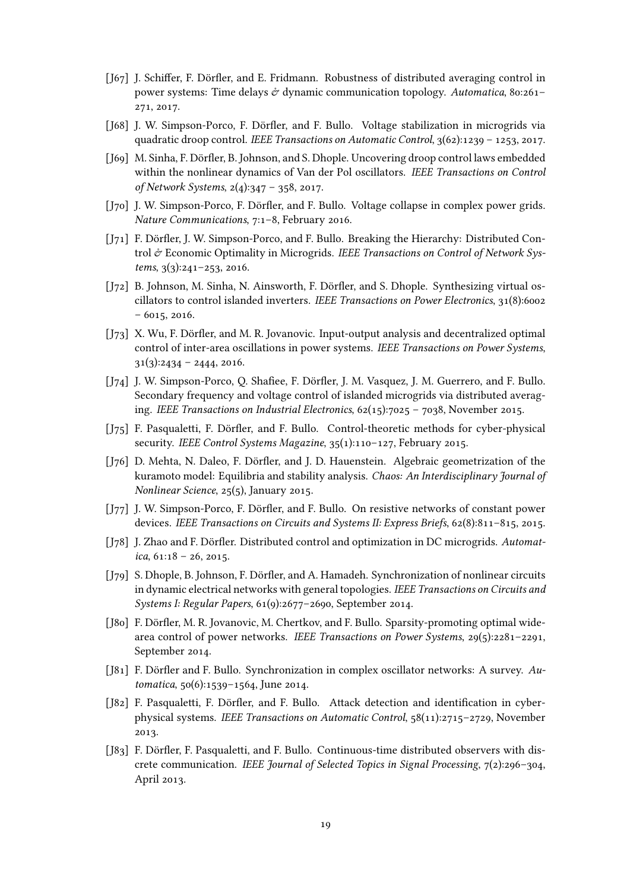- [J67] J. Schiffer, F. Dörfler, and E. Fridmann. Robustness of distributed averaging control in power systems: Time delays & dynamic communication topology. *Automatica*, 80:261– 271, 2017.
- [J68] J. W. Simpson-Porco, F. Dörfler, and F. Bullo. Voltage stabilization in microgrids via quadratic droop control. *IEEE Transactions on Automatic Control*, 3(62):1239 – 1253, 2017.
- [169] M. Sinha, F. Dörfler, B. Johnson, and S. Dhople. Uncovering droop control laws embedded within the nonlinear dynamics of Van der Pol oscillators. *IEEE Transactions on Control of Network Systems*, 2(4):347 – 358, 2017.
- [J70] J. W. Simpson-Porco, F. Dörfler, and F. Bullo. Voltage collapse in complex power grids. *Nature Communications*, 7:1–8, February 2016.
- [J71] F. Dörfler, J. W. Simpson-Porco, and F. Bullo. Breaking the Hierarchy: Distributed Control & Economic Optimality in Microgrids. *IEEE Transactions on Control of Network Systems*, 3(3):241–253, 2016.
- [J72] B. Johnson, M. Sinha, N. Ainsworth, F. Dörfler, and S. Dhople. Synthesizing virtual oscillators to control islanded inverters. *IEEE Transactions on Power Electronics*, 31(8):6002 – 6015, 2016.
- [J73] X. Wu, F. Dörfler, and M. R. Jovanovic. Input-output analysis and decentralized optimal control of inter-area oscillations in power systems. *IEEE Transactions on Power Systems*,  $31(3):2434 - 2444$ , 2016.
- [J74] J. W. Simpson-Porco, Q. Shafiee, F. Dörfler, J. M. Vasquez, J. M. Guerrero, and F. Bullo. Secondary frequency and voltage control of islanded microgrids via distributed averaging. *IEEE Transactions on Industrial Electronics*, 62(15):7025 – 7038, November 2015.
- [J75] F. Pasqualetti, F. Dörfler, and F. Bullo. Control-theoretic methods for cyber-physical security. *IEEE Control Systems Magazine*, 35(1):110–127, February 2015.
- [J76] D. Mehta, N. Daleo, F. Dörfler, and J. D. Hauenstein. Algebraic geometrization of the kuramoto model: Equilibria and stability analysis. *Chaos: An Interdisciplinary Journal of Nonlinear Science*, 25(5), January 2015.
- [J77] J. W. Simpson-Porco, F. Dörfler, and F. Bullo. On resistive networks of constant power devices. *IEEE Transactions on Circuits and Systems II: Express Briefs*, 62(8):811–815, 2015.
- [J78] J. Zhao and F. Dörfler. Distributed control and optimization in DC microgrids. *Automatica*, 61:18 – 26, 2015.
- [J79] S. Dhople, B. Johnson, F. Dörfler, and A. Hamadeh. Synchronization of nonlinear circuits in dynamic electrical networks with general topologies. *IEEE Transactions on Circuits and Systems I: Regular Papers*, 61(9):2677–2690, September 2014.
- [J80] F. Dörfler, M. R. Jovanovic, M. Chertkov, and F. Bullo. Sparsity-promoting optimal widearea control of power networks. *IEEE Transactions on Power Systems*, 29(5):2281–2291, September 2014.
- [J81] F. Dörfler and F. Bullo. Synchronization in complex oscillator networks: A survey. *Automatica*, 50(6):1539–1564, June 2014.
- [J82] F. Pasqualetti, F. Dörfler, and F. Bullo. Attack detection and identification in cyberphysical systems. *IEEE Transactions on Automatic Control*, 58(11):2715–2729, November 2013.
- [J83] F. Dörfler, F. Pasqualetti, and F. Bullo. Continuous-time distributed observers with discrete communication. *IEEE Journal of Selected Topics in Signal Processing*, 7(2):296–304, April 2013.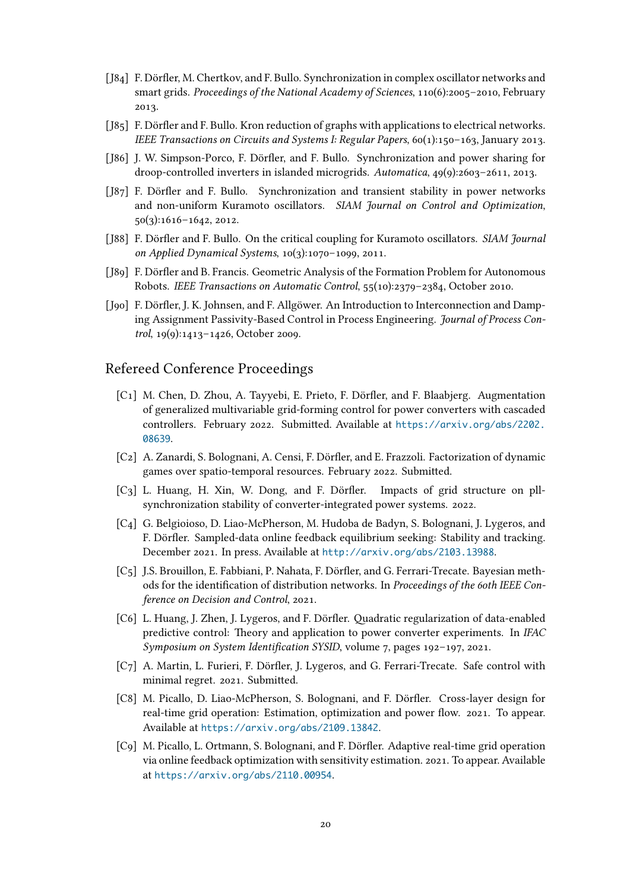- [J84] F. Dörfler, M. Chertkov, and F. Bullo. Synchronization in complex oscillator networks and smart grids. *Proceedings of the National Academy of Sciences*, 110(6):2005–2010, February 2013.
- [J85] F. Dörfler and F. Bullo. Kron reduction of graphs with applications to electrical networks. *IEEE Transactions on Circuits and Systems I: Regular Papers*, 60(1):150–163, January 2013.
- [J86] J. W. Simpson-Porco, F. Dörfler, and F. Bullo. Synchronization and power sharing for droop-controlled inverters in islanded microgrids. *Automatica*, 49(9):2603–2611, 2013.
- [J87] F. Dörfler and F. Bullo. Synchronization and transient stability in power networks and non-uniform Kuramoto oscillators. *SIAM Journal on Control and Optimization*, 50(3):1616–1642, 2012.
- [J88] F. Dörfler and F. Bullo. On the critical coupling for Kuramoto oscillators. *SIAM Journal on Applied Dynamical Systems*, 10(3):1070–1099, 2011.
- [J89] F. Dörfler and B. Francis. Geometric Analysis of the Formation Problem for Autonomous Robots. *IEEE Transactions on Automatic Control*, 55(10):2379–2384, October 2010.
- [J90] F. Dörfler, J. K. Johnsen, and F. Allgöwer. An Introduction to Interconnection and Damping Assignment Passivity-Based Control in Process Engineering. *Journal of Process Control*, 19(9):1413–1426, October 2009.

## Refereed Conference Proceedings

- [C1] M. Chen, D. Zhou, A. Tayyebi, E. Prieto, F. Dörfler, and F. Blaabjerg. Augmentation of generalized multivariable grid-forming control for power converters with cascaded controllers. February 2022. Submitted. Available at https://arxiv.org/abs/2202. 08639.
- [C2] A. Zanardi, S. Bolognani, A. Censi, F. Dörfler, and E. Frazzoli. Factorization of dynamic games over spatio-temporal resources. February 2022[. Submitted.](https://arxiv.org/abs/2202.08639)
- [C3] [L. Hu](https://arxiv.org/abs/2202.08639)ang, H. Xin, W. Dong, and F. Dörfler. Impacts of grid structure on pllsynchronization stability of converter-integrated power systems. 2022.
- [C4] G. Belgioioso, D. Liao-McPherson, M. Hudoba de Badyn, S. Bolognani, J. Lygeros, and F. Dörfler. Sampled-data online feedback equilibrium seeking: Stability and tracking. December 2021. In press. Available at http://arxiv.org/abs/2103.13988.
- [C5] J.S. Brouillon, E. Fabbiani, P. Nahata, F. Dörfler, and G. Ferrari-Trecate. Bayesian methods for the identification of distribution networks. In *Proceedings of the 60th IEEE Conference on Decision and Control*, 2021.
- [C6] L. Huang, J. Zhen, J. Lygeros, and F. Dörfler. Quadratic regularization of data-enabled predictive control: Theory and application to power converter experiments. In *IFAC Symposium on System Identification SYSID*, volume 7, pages 192–197, 2021.
- [C7] A. Martin, L. Furieri, F. Dörfler, J. Lygeros, and G. Ferrari-Trecate. Safe control with minimal regret. 2021. Submitted.
- [C8] M. Picallo, D. Liao-McPherson, S. Bolognani, and F. Dörfler. Cross-layer design for real-time grid operation: Estimation, optimization and power flow. 2021. To appear. Available at https://arxiv.org/abs/2109.13842.
- [C9] M. Picallo, L. Ortmann, S. Bolognani, and F. Dörfler. Adaptive real-time grid operation via online feedback optimization with sensitivity estimation. 2021. To appear. Available at https://[arxiv.org/abs/2110.00954](https://arxiv.org/abs/2109.13842).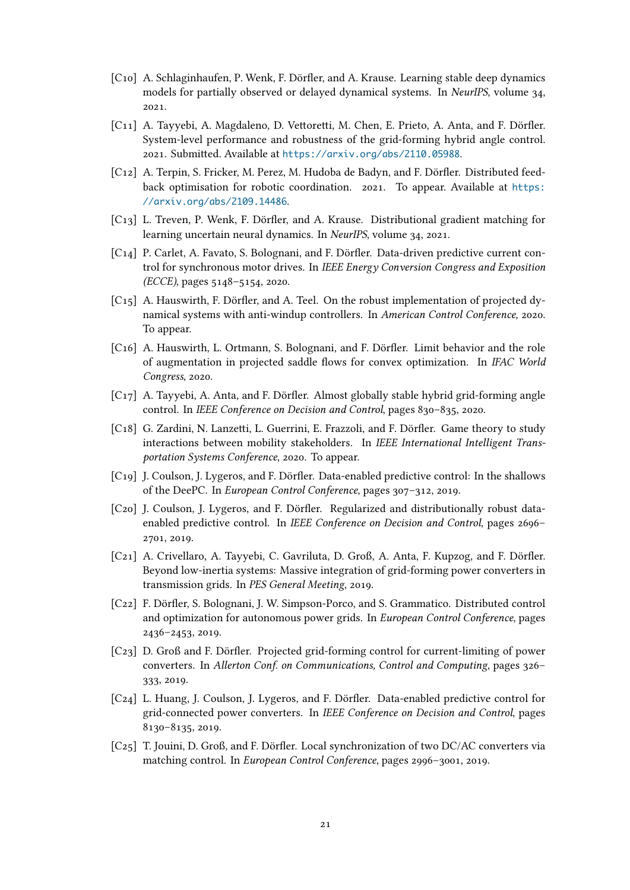- [C10] A. Schlaginhaufen, P. Wenk, F. Dörfler, and A. Krause. Learning stable deep dynamics models for partially observed or delayed dynamical systems. In *NeurIPS*, volume 34, 2021.
- [C11] A. Tayyebi, A. Magdaleno, D. Vettoretti, M. Chen, E. Prieto, A. Anta, and F. Dörfler. System-level performance and robustness of the grid-forming hybrid angle control. 2021. Submitted. Available at https://arxiv.org/abs/2110.05988.
- [C12] A. Terpin, S. Fricker, M. Perez, M. Hudoba de Badyn, and F. Dörfler. Distributed feedback optimisation for robotic coordination. 2021. To appear. Available at https: //arxiv.org/abs/2109.1448[6](https://arxiv.org/abs/2110.05988).
- [C13] L. Treven, P. Wenk, F. Dörfler, and A. Krause. Distributional gradient matching for learning uncertain neural dynamics. In *NeurIPS*, volume 34, 2021.
- [C14] [P. Carlet, A. Favato, S. Bologna](https://arxiv.org/abs/2109.14486)ni, and F. Dörfler. Data-driven predictive current control for synchronous motor drives. In *IEEE Energy Conversion Congress and Exposition (ECCE)*, pages 5148–5154, 2020.
- [C15] A. Hauswirth, F. Dörfler, and A. Teel. On the robust implementation of projected dynamical systems with anti-windup controllers. In *American Control Conference*, 2020. To appear.
- [C16] A. Hauswirth, L. Ortmann, S. Bolognani, and F. Dörfler. Limit behavior and the role of augmentation in projected saddle flows for convex optimization. In *IFAC World Congress*, 2020.
- [C17] A. Tayyebi, A. Anta, and F. Dörfler. Almost globally stable hybrid grid-forming angle control. In *IEEE Conference on Decision and Control*, pages 830–835, 2020.
- [C18] G. Zardini, N. Lanzetti, L. Guerrini, E. Frazzoli, and F. Dörfler. Game theory to study interactions between mobility stakeholders. In *IEEE International Intelligent Transportation Systems Conference*, 2020. To appear.
- [C19] J. Coulson, J. Lygeros, and F. Dörfler. Data-enabled predictive control: In the shallows of the DeePC. In *European Control Conference*, pages 307–312, 2019.
- [C20] J. Coulson, J. Lygeros, and F. Dörfler. Regularized and distributionally robust dataenabled predictive control. In *IEEE Conference on Decision and Control*, pages 2696– 2701, 2019.
- [C21] A. Crivellaro, A. Tayyebi, C. Gavriluta, D. Groß, A. Anta, F. Kupzog, and F. Dörfler. Beyond low-inertia systems: Massive integration of grid-forming power converters in transmission grids. In *PES General Meeting*, 2019.
- [C22] F. Dörfler, S. Bolognani, J. W. Simpson-Porco, and S. Grammatico. Distributed control and optimization for autonomous power grids. In *European Control Conference*, pages 2436–2453, 2019.
- [C23] D. Groß and F. Dörfler. Projected grid-forming control for current-limiting of power converters. In *Allerton Conf. on Communications, Control and Computing*, pages 326– 333, 2019.
- [C24] L. Huang, J. Coulson, J. Lygeros, and F. Dörfler. Data-enabled predictive control for grid-connected power converters. In *IEEE Conference on Decision and Control*, pages 8130–8135, 2019.
- [C25] T. Jouini, D. Groß, and F. Dörfler. Local synchronization of two DC/AC converters via matching control. In *European Control Conference*, pages 2996–3001, 2019.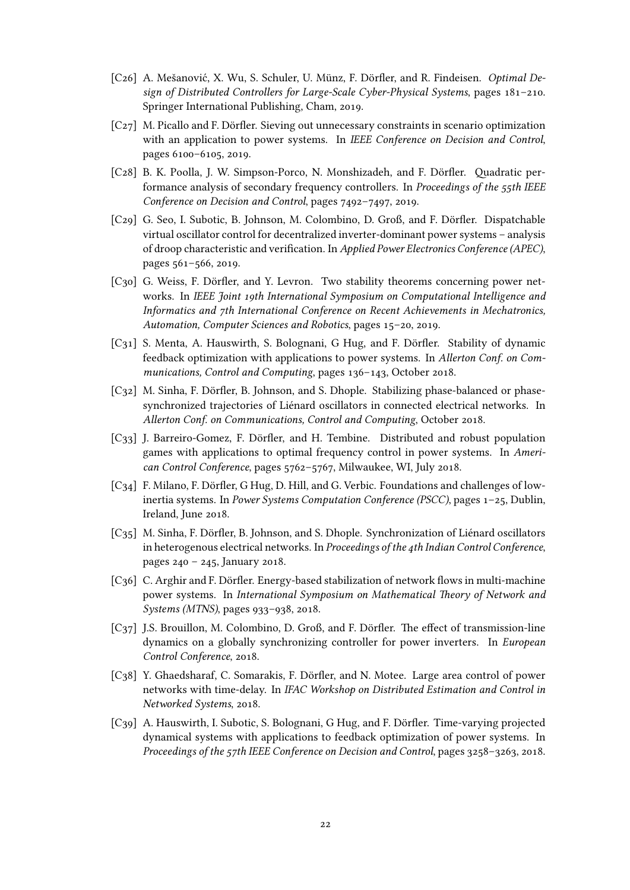- [C26] A. Mešanović, X. Wu, S. Schuler, U. Münz, F. Dörfler, and R. Findeisen. *Optimal Design of Distributed Controllers for Large-Scale Cyber-Physical Systems*, pages 181–210. Springer International Publishing, Cham, 2019.
- [C27] M. Picallo and F. Dörfler. Sieving out unnecessary constraints in scenario optimization with an application to power systems. In *IEEE Conference on Decision and Control*, pages 6100–6105, 2019.
- [C28] B. K. Poolla, J. W. Simpson-Porco, N. Monshizadeh, and F. Dörfler. Quadratic performance analysis of secondary frequency controllers. In *Proceedings of the 55th IEEE Conference on Decision and Control*, pages 7492–7497, 2019.
- [C29] G. Seo, I. Subotic, B. Johnson, M. Colombino, D. Groß, and F. Dörfler. Dispatchable virtual oscillator control for decentralized inverter-dominant power systems – analysis of droop characteristic and verification. In *Applied Power Electronics Conference (APEC)*, pages 561–566, 2019.
- [C30] G. Weiss, F. Dörfler, and Y. Levron. Two stability theorems concerning power networks. In *IEEE Joint 19th International Symposium on Computational Intelligence and Informatics and 7th International Conference on Recent Achievements in Mechatronics, Automation, Computer Sciences and Robotics*, pages 15–20, 2019.
- [C31] S. Menta, A. Hauswirth, S. Bolognani, G Hug, and F. Dörfler. Stability of dynamic feedback optimization with applications to power systems. In *Allerton Conf. on Communications, Control and Computing*, pages 136–143, October 2018.
- [C32] M. Sinha, F. Dörfler, B. Johnson, and S. Dhople. Stabilizing phase-balanced or phasesynchronized trajectories of Liénard oscillators in connected electrical networks. In *Allerton Conf. on Communications, Control and Computing*, October 2018.
- [C<sub>33</sub>] J. Barreiro-Gomez, F. Dörfler, and H. Tembine. Distributed and robust population games with applications to optimal frequency control in power systems. In *American Control Conference*, pages 5762–5767, Milwaukee, WI, July 2018.
- [C34] F. Milano, F. Dörfler, G Hug, D. Hill, and G. Verbic. Foundations and challenges of lowinertia systems. In *Power Systems Computation Conference (PSCC)*, pages 1–25, Dublin, Ireland, June 2018.
- [C35] M. Sinha, F. Dörfler, B. Johnson, and S. Dhople. Synchronization of Liénard oscillators in heterogenous electrical networks. In *Proceedings of the 4th Indian Control Conference*, pages 240 – 245, January 2018.
- [C36] C. Arghir and F. Dörfler. Energy-based stabilization of network flows in multi-machine power systems. In *International Symposium on Mathematical Theory of Network and Systems (MTNS)*, pages 933–938, 2018.
- [C37] J.S. Brouillon, M. Colombino, D. Groß, and F. Dörfler. The effect of transmission-line dynamics on a globally synchronizing controller for power inverters. In *European Control Conference*, 2018.
- [C38] Y. Ghaedsharaf, C. Somarakis, F. Dörfler, and N. Motee. Large area control of power networks with time-delay. In *IFAC Workshop on Distributed Estimation and Control in Networked Systems*, 2018.
- [C39] A. Hauswirth, I. Subotic, S. Bolognani, G Hug, and F. Dörfler. Time-varying projected dynamical systems with applications to feedback optimization of power systems. In *Proceedings of the 57th IEEE Conference on Decision and Control*, pages 3258–3263, 2018.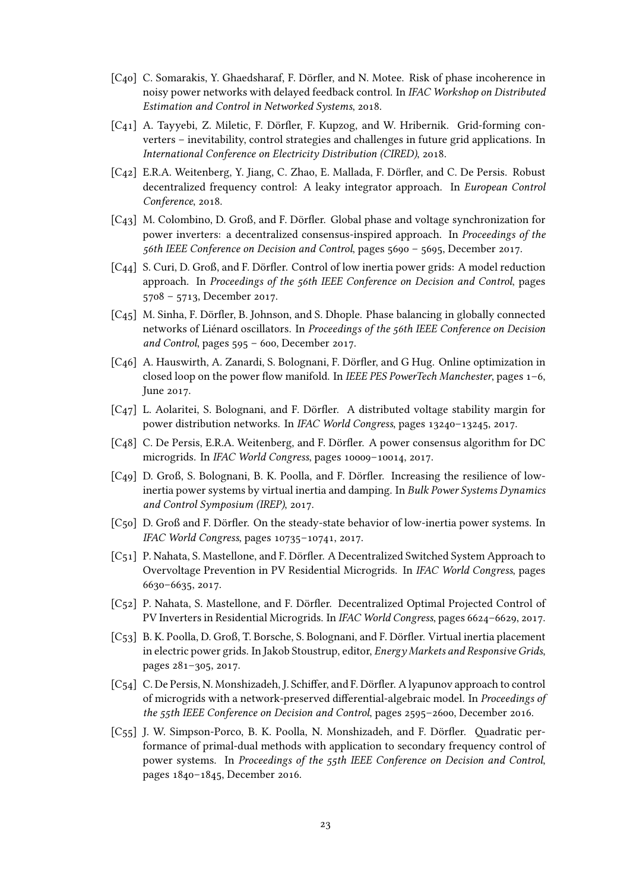- [C40] C. Somarakis, Y. Ghaedsharaf, F. Dörfler, and N. Motee. Risk of phase incoherence in noisy power networks with delayed feedback control. In *IFAC Workshop on Distributed Estimation and Control in Networked Systems*, 2018.
- [C41] A. Tayyebi, Z. Miletic, F. Dörfler, F. Kupzog, and W. Hribernik. Grid-forming converters – inevitability, control strategies and challenges in future grid applications. In *International Conference on Electricity Distribution (CIRED)*, 2018.
- [C42] E.R.A. Weitenberg, Y. Jiang, C. Zhao, E. Mallada, F. Dörfler, and C. De Persis. Robust decentralized frequency control: A leaky integrator approach. In *European Control Conference*, 2018.
- [C43] M. Colombino, D. Groß, and F. Dörfler. Global phase and voltage synchronization for power inverters: a decentralized consensus-inspired approach. In *Proceedings of the 56th IEEE Conference on Decision and Control*, pages 5690 – 5695, December 2017.
- [C44] S. Curi, D. Groß, and F. Dörfler. Control of low inertia power grids: A model reduction approach. In *Proceedings of the 56th IEEE Conference on Decision and Control*, pages 5708 – 5713, December 2017.
- [C45] M. Sinha, F. Dörfler, B. Johnson, and S. Dhople. Phase balancing in globally connected networks of Liénard oscillators. In *Proceedings of the 56th IEEE Conference on Decision and Control*, pages 595 – 600, December 2017.
- [C46] A. Hauswirth, A. Zanardi, S. Bolognani, F. Dörfler, and G Hug. Online optimization in closed loop on the power flow manifold. In *IEEE PES PowerTech Manchester*, pages 1–6, June 2017.
- [C47] L. Aolaritei, S. Bolognani, and F. Dörfler. A distributed voltage stability margin for power distribution networks. In *IFAC World Congress*, pages 13240–13245, 2017.
- [C48] C. De Persis, E.R.A. Weitenberg, and F. Dörfler. A power consensus algorithm for DC microgrids. In *IFAC World Congress*, pages 10009–10014, 2017.
- [C49] D. Groß, S. Bolognani, B. K. Poolla, and F. Dörfler. Increasing the resilience of lowinertia power systems by virtual inertia and damping. In *Bulk Power Systems Dynamics and Control Symposium (IREP)*, 2017.
- [C50] D. Groß and F. Dörfler. On the steady-state behavior of low-inertia power systems. In *IFAC World Congress*, pages 10735–10741, 2017.
- [C51] P. Nahata, S. Mastellone, and F. Dörfler. A Decentralized Switched System Approach to Overvoltage Prevention in PV Residential Microgrids. In *IFAC World Congress*, pages 6630–6635, 2017.
- [C52] P. Nahata, S. Mastellone, and F. Dörfler. Decentralized Optimal Projected Control of PV Inverters in Residential Microgrids. In *IFAC World Congress*, pages 6624–6629, 2017.
- [C53] B. K. Poolla, D. Groß, T. Borsche, S. Bolognani, and F. Dörfler. Virtual inertia placement in electric power grids. In Jakob Stoustrup, editor, *Energy Markets and Responsive Grids*, pages 281–305, 2017.
- [C54] C. De Persis, N. Monshizadeh, J. Schiffer, and F. Dörfler. A lyapunov approach to control of microgrids with a network-preserved differential-algebraic model. In *Proceedings of the 55th IEEE Conference on Decision and Control*, pages 2595–2600, December 2016.
- [C55] J. W. Simpson-Porco, B. K. Poolla, N. Monshizadeh, and F. Dörfler. Quadratic performance of primal-dual methods with application to secondary frequency control of power systems. In *Proceedings of the 55th IEEE Conference on Decision and Control*, pages 1840–1845, December 2016.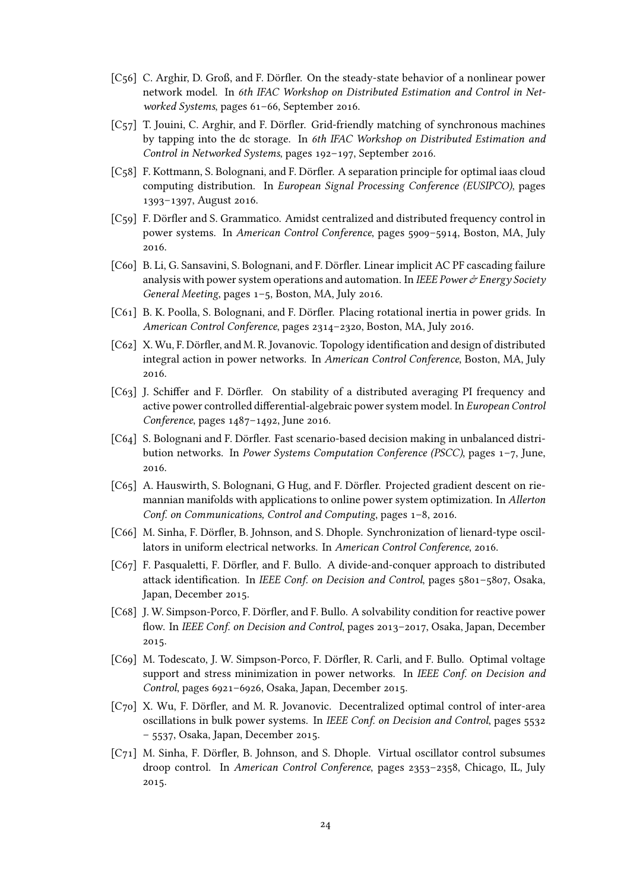- [C56] C. Arghir, D. Groß, and F. Dörfler. On the steady-state behavior of a nonlinear power network model. In *6th IFAC Workshop on Distributed Estimation and Control in Networked Systems*, pages 61–66, September 2016.
- [C57] T. Jouini, C. Arghir, and F. Dörfler. Grid-friendly matching of synchronous machines by tapping into the dc storage. In *6th IFAC Workshop on Distributed Estimation and Control in Networked Systems*, pages 192–197, September 2016.
- [C58] F. Kottmann, S. Bolognani, and F. Dörfler. A separation principle for optimal iaas cloud computing distribution. In *European Signal Processing Conference (EUSIPCO)*, pages 1393–1397, August 2016.
- [C59] F. Dörfler and S. Grammatico. Amidst centralized and distributed frequency control in power systems. In *American Control Conference*, pages 5909–5914, Boston, MA, July 2016.
- [C60] B. Li, G. Sansavini, S. Bolognani, and F. Dörfler. Linear implicit AC PF cascading failure analysis with power system operations and automation. In *IEEE Power & Energy Society General Meeting*, pages 1–5, Boston, MA, July 2016.
- [C61] B. K. Poolla, S. Bolognani, and F. Dörfler. Placing rotational inertia in power grids. In *American Control Conference*, pages 2314–2320, Boston, MA, July 2016.
- [C62] X. Wu, F. Dörfler, and M. R. Jovanovic. Topology identification and design of distributed integral action in power networks. In *American Control Conference*, Boston, MA, July 2016.
- [C63] J. Schiffer and F. Dörfler. On stability of a distributed averaging PI frequency and active power controlled differential-algebraic power system model. In *European Control Conference*, pages 1487–1492, June 2016.
- [C64] S. Bolognani and F. Dörfler. Fast scenario-based decision making in unbalanced distribution networks. In *Power Systems Computation Conference (PSCC)*, pages 1–7, June, 2016.
- [C65] A. Hauswirth, S. Bolognani, G Hug, and F. Dörfler. Projected gradient descent on riemannian manifolds with applications to online power system optimization. In *Allerton Conf. on Communications, Control and Computing*, pages 1–8, 2016.
- [C66] M. Sinha, F. Dörfler, B. Johnson, and S. Dhople. Synchronization of lienard-type oscillators in uniform electrical networks. In *American Control Conference*, 2016.
- [C67] F. Pasqualetti, F. Dörfler, and F. Bullo. A divide-and-conquer approach to distributed attack identification. In *IEEE Conf. on Decision and Control*, pages 5801–5807, Osaka, Japan, December 2015.
- [C68] J. W. Simpson-Porco, F. Dörfler, and F. Bullo. A solvability condition for reactive power flow. In *IEEE Conf. on Decision and Control*, pages 2013–2017, Osaka, Japan, December 2015.
- [C69] M. Todescato, J. W. Simpson-Porco, F. Dörfler, R. Carli, and F. Bullo. Optimal voltage support and stress minimization in power networks. In *IEEE Conf. on Decision and Control*, pages 6921–6926, Osaka, Japan, December 2015.
- [C70] X. Wu, F. Dörfler, and M. R. Jovanovic. Decentralized optimal control of inter-area oscillations in bulk power systems. In *IEEE Conf. on Decision and Control*, pages 5532 – 5537, Osaka, Japan, December 2015.
- [C71] M. Sinha, F. Dörfler, B. Johnson, and S. Dhople. Virtual oscillator control subsumes droop control. In *American Control Conference*, pages 2353–2358, Chicago, IL, July 2015.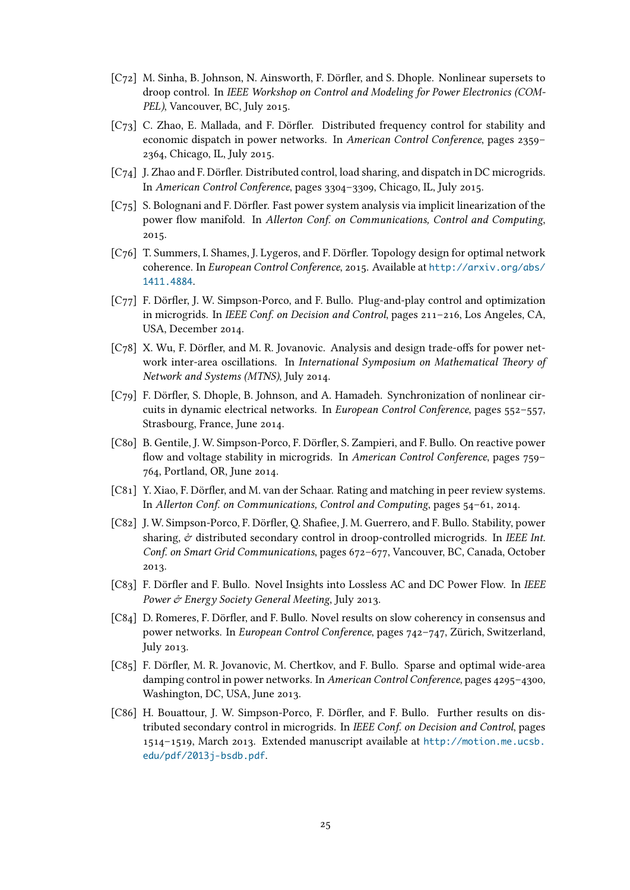- [C72] M. Sinha, B. Johnson, N. Ainsworth, F. Dörfler, and S. Dhople. Nonlinear supersets to droop control. In *IEEE Workshop on Control and Modeling for Power Electronics (COM-PEL)*, Vancouver, BC, July 2015.
- [C73] C. Zhao, E. Mallada, and F. Dörfler. Distributed frequency control for stability and economic dispatch in power networks. In *American Control Conference*, pages 2359– 2364, Chicago, IL, July 2015.
- [C74] J. Zhao and F. Dörfler. Distributed control, load sharing, and dispatch in DC microgrids. In *American Control Conference*, pages 3304–3309, Chicago, IL, July 2015.
- [C75] S. Bolognani and F. Dörfler. Fast power system analysis via implicit linearization of the power flow manifold. In *Allerton Conf. on Communications, Control and Computing*, 2015.
- [C76] T. Summers, I. Shames, J. Lygeros, and F. Dörfler. Topology design for optimal network coherence. In *European Control Conference*, 2015. Available at http://arxiv.org/abs/ 1411.4884.
- [C77] F. Dörfler, J. W. Simpson-Porco, and F. Bullo. Plug-and-play control and optimization in microgrids. In *IEEE Conf. on Decision and Control*, pages 2[11–216, Los Angeles, CA,](http://arxiv.org/abs/1411.4884) [USA, Dece](http://arxiv.org/abs/1411.4884)mber 2014.
- [C78] X. Wu, F. Dörfler, and M. R. Jovanovic. Analysis and design trade-offs for power network inter-area oscillations. In *International Symposium on Mathematical Theory of Network and Systems (MTNS)*, July 2014.
- [C79] F. Dörfler, S. Dhople, B. Johnson, and A. Hamadeh. Synchronization of nonlinear circuits in dynamic electrical networks. In *European Control Conference*, pages 552–557, Strasbourg, France, June 2014.
- [C80] B. Gentile, J. W. Simpson-Porco, F. Dörfler, S. Zampieri, and F. Bullo. On reactive power flow and voltage stability in microgrids. In *American Control Conference*, pages 759– 764, Portland, OR, June 2014.
- [C81] Y. Xiao, F. Dörfler, and M. van der Schaar. Rating and matching in peer review systems. In *Allerton Conf. on Communications, Control and Computing*, pages 54–61, 2014.
- [C82] J. W. Simpson-Porco, F. Dörfler, Q. Shafiee, J. M. Guerrero, and F. Bullo. Stability, power sharing, & distributed secondary control in droop-controlled microgrids. In *IEEE Int. Conf. on Smart Grid Communications*, pages 672–677, Vancouver, BC, Canada, October 2013.
- [C83] F. Dörfler and F. Bullo. Novel Insights into Lossless AC and DC Power Flow. In *IEEE Power & Energy Society General Meeting*, July 2013.
- [C84] D. Romeres, F. Dörfler, and F. Bullo. Novel results on slow coherency in consensus and power networks. In *European Control Conference*, pages 742–747, Zürich, Switzerland, July 2013.
- [C85] F. Dörfler, M. R. Jovanovic, M. Chertkov, and F. Bullo. Sparse and optimal wide-area damping control in power networks. In *American Control Conference*, pages 4295–4300, Washington, DC, USA, June 2013.
- [C86] H. Bouattour, J. W. Simpson-Porco, F. Dörfler, and F. Bullo. Further results on distributed secondary control in microgrids. In *IEEE Conf. on Decision and Control*, pages 1514–1519, March 2013. Extended manuscript available at http://motion.me.ucsb. edu/pdf/2013j-bsdb.pdf.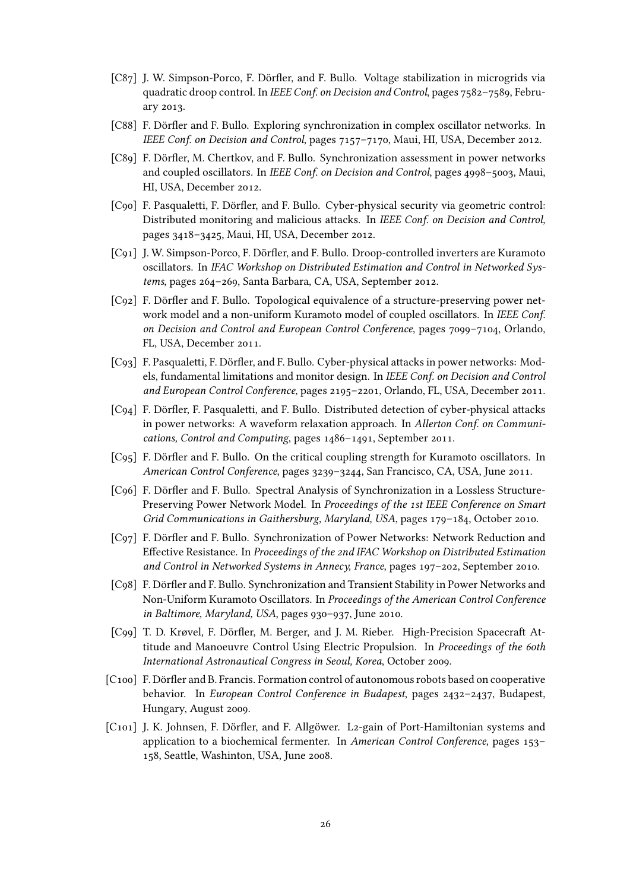- [C87] J. W. Simpson-Porco, F. Dörfler, and F. Bullo. Voltage stabilization in microgrids via quadratic droop control. In *IEEE Conf. on Decision and Control*, pages 7582–7589, February 2013.
- [C88] F. Dörfler and F. Bullo. Exploring synchronization in complex oscillator networks. In *IEEE Conf. on Decision and Control*, pages 7157–7170, Maui, HI, USA, December 2012.
- [C89] F. Dörfler, M. Chertkov, and F. Bullo. Synchronization assessment in power networks and coupled oscillators. In *IEEE Conf. on Decision and Control*, pages 4998–5003, Maui, HI, USA, December 2012.
- [C90] F. Pasqualetti, F. Dörfler, and F. Bullo. Cyber-physical security via geometric control: Distributed monitoring and malicious attacks. In *IEEE Conf. on Decision and Control*, pages 3418–3425, Maui, HI, USA, December 2012.
- [C91] J. W. Simpson-Porco, F. Dörfler, and F. Bullo. Droop-controlled inverters are Kuramoto oscillators. In *IFAC Workshop on Distributed Estimation and Control in Networked Systems*, pages 264–269, Santa Barbara, CA, USA, September 2012.
- [C92] F. Dörfler and F. Bullo. Topological equivalence of a structure-preserving power network model and a non-uniform Kuramoto model of coupled oscillators. In *IEEE Conf. on Decision and Control and European Control Conference*, pages 7099–7104, Orlando, FL, USA, December 2011.
- [C93] F. Pasqualetti, F. Dörfler, and F. Bullo. Cyber-physical attacks in power networks: Models, fundamental limitations and monitor design. In *IEEE Conf. on Decision and Control and European Control Conference*, pages 2195–2201, Orlando, FL, USA, December 2011.
- [C94] F. Dörfler, F. Pasqualetti, and F. Bullo. Distributed detection of cyber-physical attacks in power networks: A waveform relaxation approach. In *Allerton Conf. on Communications, Control and Computing*, pages 1486–1491, September 2011.
- [C95] F. Dörfler and F. Bullo. On the critical coupling strength for Kuramoto oscillators. In *American Control Conference*, pages 3239–3244, San Francisco, CA, USA, June 2011.
- [C96] F. Dörfler and F. Bullo. Spectral Analysis of Synchronization in a Lossless Structure-Preserving Power Network Model. In *Proceedings of the 1st IEEE Conference on Smart Grid Communications in Gaithersburg, Maryland, USA*, pages 179–184, October 2010.
- [C97] F. Dörfler and F. Bullo. Synchronization of Power Networks: Network Reduction and Effective Resistance. In *Proceedings of the 2nd IFAC Workshop on Distributed Estimation and Control in Networked Systems in Annecy, France*, pages 197–202, September 2010.
- [C98] F. Dörfler and F. Bullo. Synchronization and Transient Stability in Power Networks and Non-Uniform Kuramoto Oscillators. In *Proceedings of the American Control Conference in Baltimore, Maryland, USA*, pages 930–937, June 2010.
- [C99] T. D. Krøvel, F. Dörfler, M. Berger, and J. M. Rieber. High-Precision Spacecraft Attitude and Manoeuvre Control Using Electric Propulsion. In *Proceedings of the 60th International Astronautical Congress in Seoul, Korea*, October 2009.
- [C100] F. Dörfler and B. Francis. Formation control of autonomous robots based on cooperative behavior. In *European Control Conference in Budapest*, pages 2432–2437, Budapest, Hungary, August 2009.
- [C101] J. K. Johnsen, F. Dörfler, and F. Allgöwer. L2-gain of Port-Hamiltonian systems and application to a biochemical fermenter. In *American Control Conference*, pages 153– 158, Seattle, Washinton, USA, June 2008.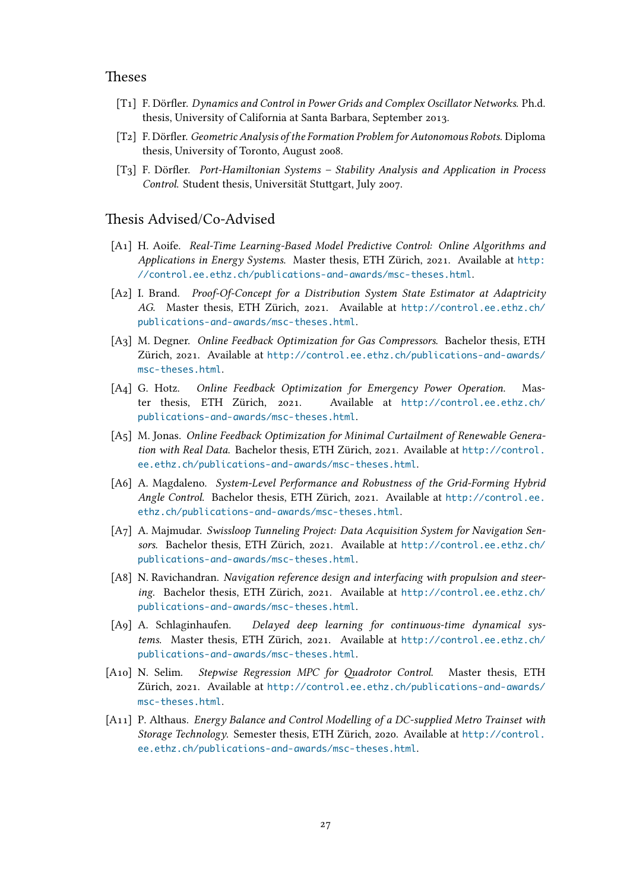### Theses

- [T1] F. Dörfler. *Dynamics and Control in Power Grids and Complex Oscillator Networks*. Ph.d. thesis, University of California at Santa Barbara, September 2013.
- [T2] F. Dörfler. *Geometric Analysis of the Formation Problem for Autonomous Robots*. Diploma thesis, University of Toronto, August 2008.
- [T3] F. Dörfler. *Port-Hamiltonian Systems Stability Analysis and Application in Process Control*. Student thesis, Universität Stuttgart, July 2007.

### Thesis Advised/Co-Advised

- [A1] H. Aoife. *Real-Time Learning-Based Model Predictive Control: Online Algorithms and Applications in Energy Systems*. Master thesis, ETH Zürich, 2021. Available at http: //control.ee.ethz.ch/publications-and-awards/msc-theses.html.
- [A2] I. Brand. *Proof-Of-Concept for a Distribution System State Estimator at Adaptricity AG*. Master thesis, ETH Zürich, 2021. Available at http://control.ee.et[hz.ch/](http://control.ee.ethz.ch/publications-and-awards/msc-theses.html) [publications-and-awards/msc-theses.html](http://control.ee.ethz.ch/publications-and-awards/msc-theses.html).
- [A3] M. Degner. *Online Feedback Optimization for Gas Compressors*. Bachelor thesis, ETH Zürich, 2021. Available at http://control.ee.ethz.c[h/publications-and-awards/](http://control.ee.ethz.ch/publications-and-awards/msc-theses.html) [msc-theses.html](http://control.ee.ethz.ch/publications-and-awards/msc-theses.html).
- [A4] G. Hotz. *Online Feedback Optimization for Emergency Power Operation*. Master thesis, ETH Zürich, 2021. Available at [http://control.ee.ethz.ch/](http://control.ee.ethz.ch/publications-and-awards/msc-theses.html) [publications-an](http://control.ee.ethz.ch/publications-and-awards/msc-theses.html)d-awards/msc-theses.html.
- [A5] M. Jonas. *Online Feedback Optimization for Minimal Curtailment of Renewable Generation with Real Data*. Bachelor thesis, ETH Zürich, 2021. Available at [http://control.](http://control.ee.ethz.ch/publications-and-awards/msc-theses.html) [ee.ethz.ch/publications-and-awards/msc-](http://control.ee.ethz.ch/publications-and-awards/msc-theses.html)theses.html.
- [A6] A. Magdaleno. *System-Level Performance and Robustness of the Grid-Forming Hybrid Angle Control*. Bachelor thesis, ETH Zürich, 2021. Available at htt[p://control.ee.](http://control.ee.ethz.ch/publications-and-awards/msc-theses.html) [ethz.ch/publications-and-awards/msc-theses.html](http://control.ee.ethz.ch/publications-and-awards/msc-theses.html).
- [A7] A. Majmudar. *Swissloop Tunneling Project: Data Acquisition System for Navigation Sensors*. Bachelor thesis, ETH Zürich, 2021. Available at http://[control.ee.ethz.ch/](http://control.ee.ethz.ch/publications-and-awards/msc-theses.html) [publications-and-awards/msc-theses.html](http://control.ee.ethz.ch/publications-and-awards/msc-theses.html).
- [A8] N. Ravichandran. *Navigation reference design and interfacing with propulsion and steering*. Bachelor thesis, ETH Zürich, 2021. Available at [http://control.ee.ethz.ch/](http://control.ee.ethz.ch/publications-and-awards/msc-theses.html) [publications-and-awards/msc-theses.html](http://control.ee.ethz.ch/publications-and-awards/msc-theses.html).
- [A9] A. Schlaginhaufen. *Delayed deep learning for continuous-time dynamical systems*. Master thesis, ETH Zürich, 2021. Available at [http://control.ee.ethz.ch/](http://control.ee.ethz.ch/publications-and-awards/msc-theses.html) [publications-and-awards/msc-theses.html](http://control.ee.ethz.ch/publications-and-awards/msc-theses.html).
- [A10] N. Selim. *Stepwise Regression MPC for Quadrotor Control*. Master thesis, ETH Zürich, 2021. Available at http://control.ee.ethz.c[h/publications-and-awards/](http://control.ee.ethz.ch/publications-and-awards/msc-theses.html) [msc-theses.html](http://control.ee.ethz.ch/publications-and-awards/msc-theses.html).
- [A11] P. Althaus. *Energy Balance and Control Modelling of a DC-supplied Metro Trainset with Storage Technology*. Semest[er thesis, ETH Zürich, 2020. Available at](http://control.ee.ethz.ch/publications-and-awards/msc-theses.html) http://control. [ee.ethz.ch/publi](http://control.ee.ethz.ch/publications-and-awards/msc-theses.html)cations-and-awards/msc-theses.html.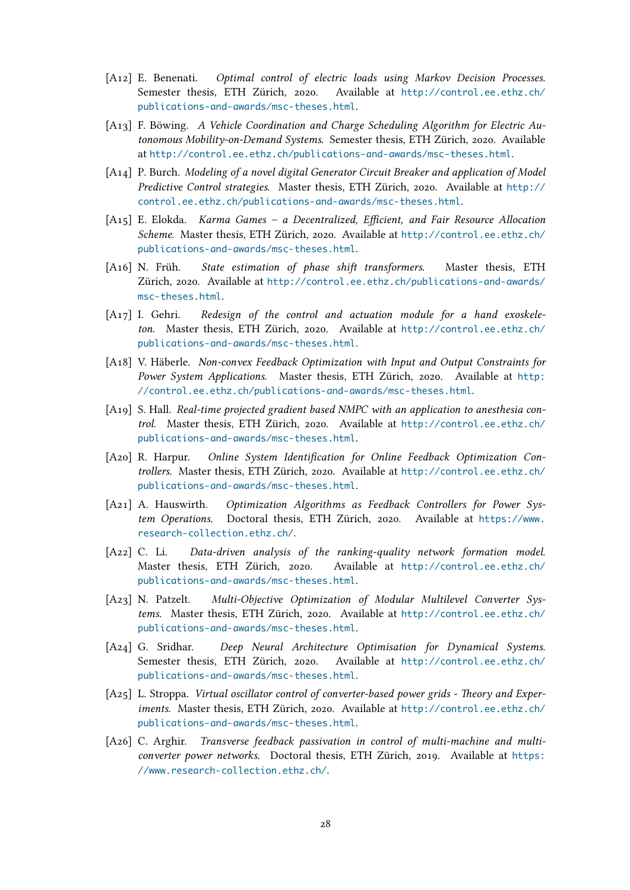- [A12] E. Benenati. *Optimal control of electric loads using Markov Decision Processes*. Semester thesis, ETH Zürich, 2020. Available at http://control.ee.ethz.ch/ publications-and-awards/msc-theses.html.
- [A13] F. Böwing. *A Vehicle Coordination and Charge Scheduling Algorithm for Electric Autonomous Mobility-on-Demand Systems*. Semester thesi[s, ETH Zürich, 2020. Available](http://control.ee.ethz.ch/publications-and-awards/msc-theses.html) at [http://control.ee.ethz.ch/publications](http://control.ee.ethz.ch/publications-and-awards/msc-theses.html)-and-awards/msc-theses.html.
- [A14] P. Burch. *Modeling of a novel digital Generator Circuit Breaker and application of Model Predictive Control strategies*. Master thesis, ETH Zürich, 2020. Available at http:// co[ntrol.ee.ethz.ch/publications-and-awards/msc-theses.html](http://control.ee.ethz.ch/publications-and-awards/msc-theses.html).
- [A15] E. Elokda. *Karma Games a Decentralized, Efficient, and Fair Resource Allocation Scheme*. Master thesis, ETH Zürich, 2020. Available at http://control.ee.e[thz.ch/](http://control.ee.ethz.ch/publications-and-awards/msc-theses.html) [publications-and-awards/msc-theses.html](http://control.ee.ethz.ch/publications-and-awards/msc-theses.html).
- [A16] N. Früh. *State estimation of phase shift transformers*. Master thesis, ETH Zürich, 2020. Available at http://control.ee.ethz.c[h/publications-and-awards/](http://control.ee.ethz.ch/publications-and-awards/msc-theses.html) [msc-theses.html](http://control.ee.ethz.ch/publications-and-awards/msc-theses.html).
- [A17] I. Gehri. *Redesign of the control and actuation module for a hand exoskeleton*. Master thesis, ETH Zürich, 2020. Available at [http://control.ee.ethz.ch/](http://control.ee.ethz.ch/publications-and-awards/msc-theses.html) [publications-an](http://control.ee.ethz.ch/publications-and-awards/msc-theses.html)d-awards/msc-theses.html.
- [A18] V. Häberle. *Non-convex Feedback Optimization with Input and Output Constraints for Power System Applications*. Master thesis, ETH Züri[ch, 2020. Available at](http://control.ee.ethz.ch/publications-and-awards/msc-theses.html) http: [//control.ee.ethz.ch/publications-and-aw](http://control.ee.ethz.ch/publications-and-awards/msc-theses.html)ards/msc-theses.html.
- [A19] S. Hall. *Real-time projected gradient based NMPC with an application to anesthesia control*. Master thesis, ETH Zürich, 2020. Available at http://control.ee.et[hz.ch/](http://control.ee.ethz.ch/publications-and-awards/msc-theses.html) [publications-and-awards/msc-theses.html](http://control.ee.ethz.ch/publications-and-awards/msc-theses.html).
- [A20] R. Harpur. *Online System Identification for Online Feedback Optimization Controllers*. Master thesis, ETH Zürich, 2020. Available at [http://control.ee.ethz.ch/](http://control.ee.ethz.ch/publications-and-awards/msc-theses.html) [publications-and-awards/msc-theses.html](http://control.ee.ethz.ch/publications-and-awards/msc-theses.html).
- [A21] A. Hauswirth. *Optimization Algorithms as Feedback Controllers for Power System Operations*. Doctoral thesis, ETH Zürich, 2020[. Available at](http://control.ee.ethz.ch/publications-and-awards/msc-theses.html) https://www. [research-collection.ethz.ch/](http://control.ee.ethz.ch/publications-and-awards/msc-theses.html).
- [A22] C. Li. *Data-driven analysis of the ranking-quality network formation model*. Master thesis, ETH Zürich, 2020. Available at http://control[.ee.ethz.ch/](https://www.research-collection.ethz.ch/) [publications-and-awards/msc-](https://www.research-collection.ethz.ch/)theses.html.
- [A23] N. Patzelt. *Multi-Objective Optimization of Modular Multilevel Converter Systems*. Master thesis, ETH Zürich, 2020. Available at [http://control.ee.ethz.ch/](http://control.ee.ethz.ch/publications-and-awards/msc-theses.html) [publications-and-awards/msc-theses.html](http://control.ee.ethz.ch/publications-and-awards/msc-theses.html).
- [A24] G. Sridhar. *Deep Neural Architecture Optimisation for Dynamical Systems*. Semester thesis, ETH Zürich, 2020. Available at [http://control.ee.ethz.ch/](http://control.ee.ethz.ch/publications-and-awards/msc-theses.html) [publications-and-awards/msc-theses.html](http://control.ee.ethz.ch/publications-and-awards/msc-theses.html).
- [A25] L. Stroppa. *Virtual oscillator control of converter-based power grids Theory and Experiments*. Master thesis, ETH Zürich, 2020. Available at [http://control.ee.ethz.ch/](http://control.ee.ethz.ch/publications-and-awards/msc-theses.html) [publications-and-awards/msc-theses.html](http://control.ee.ethz.ch/publications-and-awards/msc-theses.html).
- [A26] C. Arghir. Transverse feedback passivation in control of multi-machine and multi*converter power networks*. Doctoral thesis, ETH Züri[ch, 2019. Available at](http://control.ee.ethz.ch/publications-and-awards/msc-theses.html) https: [//www.research-collection.ethz.ch/](http://control.ee.ethz.ch/publications-and-awards/msc-theses.html).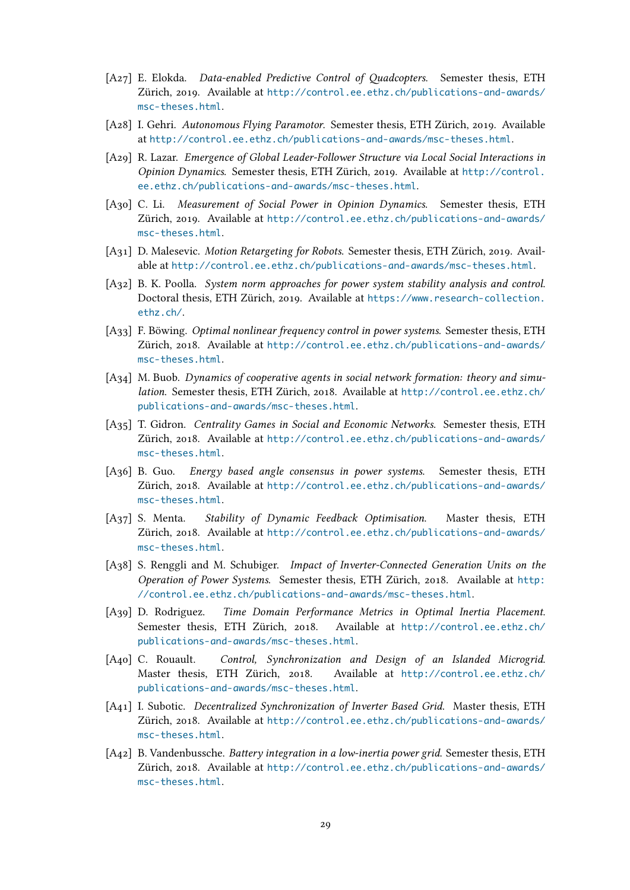- [A27] E. Elokda. *Data-enabled Predictive Control of Quadcopters*. Semester thesis, ETH Zürich, 2019. Available at http://control.ee.ethz.ch/publications-and-awards/ msc-theses.html.
- [A28] I. Gehri. *Autonomous Flying Paramotor*. Semester thesis, ETH Zürich, 2019. Available at http://control.ee.eth[z.ch/publications-and-awards/msc-theses.html](http://control.ee.ethz.ch/publications-and-awards/msc-theses.html).
- [A29] [R. Lazar.](http://control.ee.ethz.ch/publications-and-awards/msc-theses.html) *Emergence of Global Leader-Follower Structure via Local Social Interactions in Opinion Dynamics*. Semester thesis, ETH Zürich, 2019. Available at http://control. ee[.ethz.ch/publications-and-awards/msc-theses.html](http://control.ee.ethz.ch/publications-and-awards/msc-theses.html).
- [A30] C. Li. *Measurement of Social Power in Opinion Dynamics*. Semester thesis, ETH Zürich, 2019. Available at http://control.ee.ethz.ch/publicati[ons-and-awards/](http://control.ee.ethz.ch/publications-and-awards/msc-theses.html) [msc-theses.html](http://control.ee.ethz.ch/publications-and-awards/msc-theses.html).
- [A31] D. Malesevic. *Motion Retargeting for Robots*. Semester thesis, ETH Zürich, 2019. Available at http://control.ee[.ethz.ch/publications-and-awards/msc-theses.html](http://control.ee.ethz.ch/publications-and-awards/msc-theses.html).
- [A32] [B. K. Poolla.](http://control.ee.ethz.ch/publications-and-awards/msc-theses.html) *System norm approaches for power system stability analysis and control*. Doctoral thesis, ETH Zürich, 2019. Available at https://www.research-collection. ethz.c[h/](http://control.ee.ethz.ch/publications-and-awards/msc-theses.html).
- [A33] F. Böwing. *Optimal nonlinear frequency control in power systems*. Semester thesis, ETH Zürich, 2018. Available at http://control.ee.[ethz.ch/publications-and-awards/](https://www.research-collection.ethz.ch/) [msc-thes](https://www.research-collection.ethz.ch/)es.html.
- [A34] M. Buob. *Dynamics of cooperative agents in social network formation: theory and simulation*. Semester thesis, ET[H Zürich, 2018. Available at](http://control.ee.ethz.ch/publications-and-awards/msc-theses.html) http://control.ee.ethz.ch/ [publications-an](http://control.ee.ethz.ch/publications-and-awards/msc-theses.html)d-awards/msc-theses.html.
- [A35] T. Gidron. *Centrality Games in Social and Economic Networks*. Semester thesis, ETH Zürich, 2018. Available at http://control.ee.ethz.c[h/publications-and-awards/](http://control.ee.ethz.ch/publications-and-awards/msc-theses.html) [msc-theses.html](http://control.ee.ethz.ch/publications-and-awards/msc-theses.html).
- [A36] B. Guo. *Energy based angle consensus in power systems*. Semester thesis, ETH Zürich, 2018. Available at [http://control.ee.ethz.ch/publications-and-awards/](http://control.ee.ethz.ch/publications-and-awards/msc-theses.html) [msc-theses.html](http://control.ee.ethz.ch/publications-and-awards/msc-theses.html).
- [A37] S. Menta. *Stability of Dynamic Feedback Optimisation*. Master thesis, ETH Zürich, 2018. Available at [http://control.ee.ethz.ch/publications-and-awards/](http://control.ee.ethz.ch/publications-and-awards/msc-theses.html) [msc-theses.html](http://control.ee.ethz.ch/publications-and-awards/msc-theses.html).
- [A38] S. Renggli and M. Schubiger. *Impact of Inverter-Connected Generation Units on the Operation of Power Systems*[. Semester thesis, ETH Zürich, 2018. Available at](http://control.ee.ethz.ch/publications-and-awards/msc-theses.html) http: [//control.ee.eth](http://control.ee.ethz.ch/publications-and-awards/msc-theses.html)z.ch/publications-and-awards/msc-theses.html.
- [A39] D. Rodriguez. *Time Domain Performance Metrics in Optimal Inertia Placement*. Semester thesis, ETH Zürich, 2018. Available at http://control.ee.et[hz.ch/](http://control.ee.ethz.ch/publications-and-awards/msc-theses.html) [publications-and-awards/msc-theses.html](http://control.ee.ethz.ch/publications-and-awards/msc-theses.html).
- [A40] C. Rouault. *Control, Synchronization and Design of an Islanded Microgrid*. Master thesis, ETH Zürich, 2018. Available at [http://control.ee.ethz.ch/](http://control.ee.ethz.ch/publications-and-awards/msc-theses.html) [publications-and-awards/msc-theses.html](http://control.ee.ethz.ch/publications-and-awards/msc-theses.html).
- [A41] I. Subotic. *Decentralized Synchronization of Inverter Based Grid*. Master thesis, ETH Zürich, 2018. Available at http://control.ee.ethz.c[h/publications-and-awards/](http://control.ee.ethz.ch/publications-and-awards/msc-theses.html) [msc-theses.html](http://control.ee.ethz.ch/publications-and-awards/msc-theses.html).
- [A42] B. Vandenbussche. *Battery integration in a low-inertia power grid*. Semester thesis, ETH Zürich, 2018. Available at [http://control.ee.ethz.ch/publications-and-awards/](http://control.ee.ethz.ch/publications-and-awards/msc-theses.html) [msc-theses.html](http://control.ee.ethz.ch/publications-and-awards/msc-theses.html).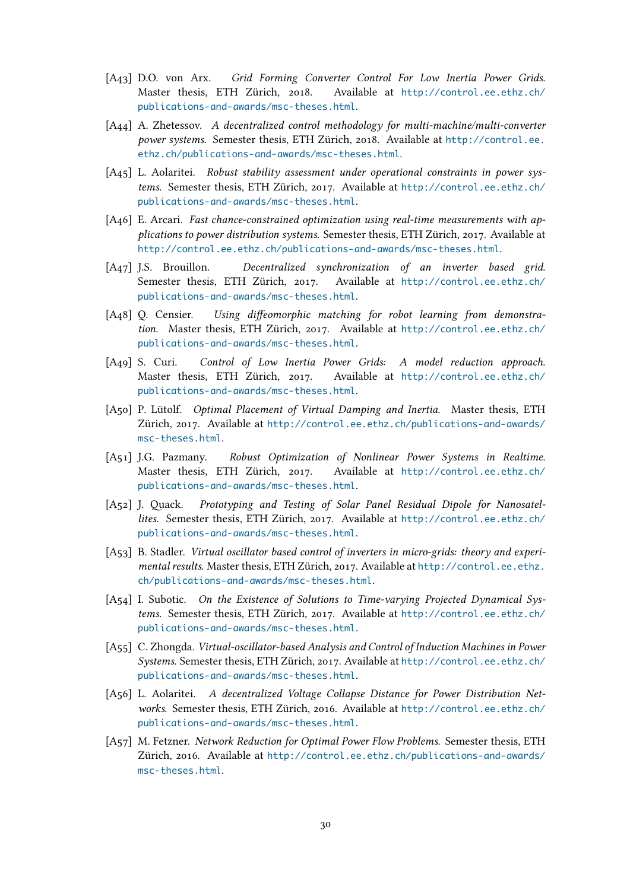- [A43] D.O. von Arx. *Grid Forming Converter Control For Low Inertia Power Grids*. Master thesis, ETH Zürich, 2018. Available at http://control.ee.ethz.ch/ publications-and-awards/msc-theses.html.
- [A44] A. Zhetessov. *A decentralized control methodology for multi-machine/multi-converter power systems*. Semester thesis, ETH Zürich, 2018. Available at [http://control.ee.](http://control.ee.ethz.ch/publications-and-awards/msc-theses.html) [ethz.ch/publications-and-awards/msc-the](http://control.ee.ethz.ch/publications-and-awards/msc-theses.html)ses.html.
- [A45] L. Aolaritei. *Robust stability assessment under operational constraints in power systems*. Semester thesis, ETH Zürich, 2017. Available at http://[control.ee.ethz.ch/](http://control.ee.ethz.ch/publications-and-awards/msc-theses.html) [publications-and-awards/msc-theses.html](http://control.ee.ethz.ch/publications-and-awards/msc-theses.html).
- [A46] E. Arcari. *Fast chance-constrained optimization using real-time measurements with applications to power distribution systems*. Semester thesis, [ETH Zürich, 2017. Available at](http://control.ee.ethz.ch/publications-and-awards/msc-theses.html) [http://control.ee.ethz.ch/publications-a](http://control.ee.ethz.ch/publications-and-awards/msc-theses.html)nd-awards/msc-theses.html.
- [A47] J.S. Brouillon. *Decentralized synchronization of an inverter based grid*. Semester thesis, ETH Zürich, 2017. Available at http://control.ee.ethz.ch/ [publications-and-awards/msc-theses.html](http://control.ee.ethz.ch/publications-and-awards/msc-theses.html).
- [A48] Q. Censier. *Using diffeomorphic matching for robot learning from demonstration*. Master thesis, ETH Zürich, 2017. Available at [http://control.ee.ethz.ch/](http://control.ee.ethz.ch/publications-and-awards/msc-theses.html) [publications-and-awards/msc-theses.html](http://control.ee.ethz.ch/publications-and-awards/msc-theses.html).
- [A49] S. Curi. *Control of Low Inertia Power Grids: A model reduction approach*. Master thesis, ETH Zürich, 2017. Available at [http://control.ee.ethz.ch/](http://control.ee.ethz.ch/publications-and-awards/msc-theses.html) [publications-and-awards/msc-theses.html](http://control.ee.ethz.ch/publications-and-awards/msc-theses.html).
- [A50] P. Lütolf. *Optimal Placement of Virtual Damping and Inertia*. Master thesis, ETH Zürich, 2017. Available at http://control.ee.ethz.c[h/publications-and-awards/](http://control.ee.ethz.ch/publications-and-awards/msc-theses.html) [msc-theses.html](http://control.ee.ethz.ch/publications-and-awards/msc-theses.html).
- [A51] J.G. Pazmany. *Robust Optimization of Nonlinear Power Systems in Realtime*. Master thesis, ETH Zürich, 2017. Available at [http://control.ee.ethz.ch/](http://control.ee.ethz.ch/publications-and-awards/msc-theses.html) [publications-an](http://control.ee.ethz.ch/publications-and-awards/msc-theses.html)d-awards/msc-theses.html.
- [A52] J. Quack. *Prototyping and Testing of Solar Panel Residual Dipole for Nanosatellites*. Semester thesis, ETH Zürich, 2017. Available at [http://control.ee.ethz.ch/](http://control.ee.ethz.ch/publications-and-awards/msc-theses.html) [publications-and-awards/msc-theses.html](http://control.ee.ethz.ch/publications-and-awards/msc-theses.html).
- [A53] B. Stadler. *Virtual oscillator based control of inverters in micro-grids: theory and experimental results*. Master thesis, ETH Zürich, 2017. Available at [http://control.ee.ethz.](http://control.ee.ethz.ch/publications-and-awards/msc-theses.html) [ch/publications-and-awards/msc-theses.h](http://control.ee.ethz.ch/publications-and-awards/msc-theses.html)tml.
- [A54] I. Subotic. *On the Existence of Solutions to Time-varying Projected Dynamical Systems*. Semester thesis, ETH Zürich, 2017. Available at ht[tp://control.ee.ethz.ch/](http://control.ee.ethz.ch/publications-and-awards/msc-theses.html) [publications-and-awards/msc-theses.html](http://control.ee.ethz.ch/publications-and-awards/msc-theses.html).
- [A55] C. Zhongda. *Virtual-oscillator-based Analysis and Control of Induction Machines in Power Systems*. Semester thesis, ETH Zürich, 2017. Available at [http://control.ee.ethz.ch/](http://control.ee.ethz.ch/publications-and-awards/msc-theses.html) [publications-and-awards/msc-theses.html](http://control.ee.ethz.ch/publications-and-awards/msc-theses.html).
- [A56] L. Aolaritei. *A decentralized Voltage Collapse Distance for Power Distribution Networks*. Semester thesis, ETH Zürich, 2016. Available at [http://control.ee.ethz.ch/](http://control.ee.ethz.ch/publications-and-awards/msc-theses.html) [publications-and-awards/msc-theses.html](http://control.ee.ethz.ch/publications-and-awards/msc-theses.html).
- [A57] M. Fetzner. *Network Reduction for Optimal Power Flow Problems*. Semester thesis, ETH Zürich, 2016. Available at http://control.ee.ethz.c[h/publications-and-awards/](http://control.ee.ethz.ch/publications-and-awards/msc-theses.html) [msc-theses.html](http://control.ee.ethz.ch/publications-and-awards/msc-theses.html).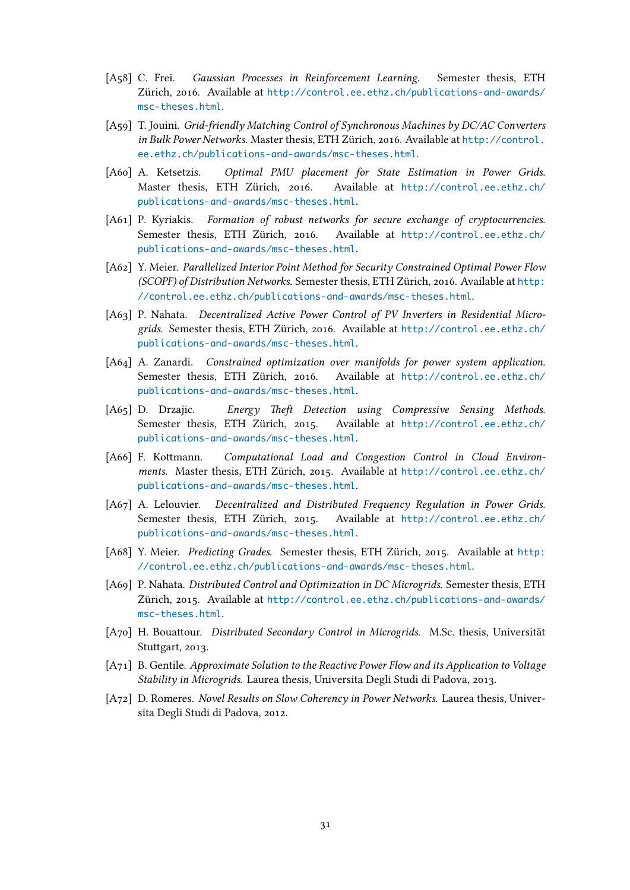- [A58] C. Frei. *Gaussian Processes in Reinforcement Learning*. Semester thesis, ETH Zürich, 2016. Available at http://control.ee.ethz.ch/publications-and-awards/ msc-theses.html.
- [A59] T. Jouini. *Grid-friendly Matching Control of Synchronous Machines by DC/AC Converters in Bulk Power Networks*. Ma[ster thesis, ETH Zürich, 2016. Available at](http://control.ee.ethz.ch/publications-and-awards/msc-theses.html) http://control. [ee.ethz.ch/publi](http://control.ee.ethz.ch/publications-and-awards/msc-theses.html)cations-and-awards/msc-theses.html.
- [A60] A. Ketsetzis. *Optimal PMU placement for State Estimation in Power Grids*. Master thesis, ETH Zürich, 2016. Available at http://cont[rol.ee.ethz.ch/](http://control.ee.ethz.ch/publications-and-awards/msc-theses.html) [publications-and-awards/msc-theses.html](http://control.ee.ethz.ch/publications-and-awards/msc-theses.html).
- [A61] P. Kyriakis. *Formation of robust networks for secure exchange of cryptocurrencies*. Semester thesis, ETH Zürich, 2016. Available at [http://control.ee.ethz.ch/](http://control.ee.ethz.ch/publications-and-awards/msc-theses.html) [publications-and-awards/msc-theses.html](http://control.ee.ethz.ch/publications-and-awards/msc-theses.html).
- [A62] Y. Meier. *Parallelized Interior Point Method for Security Constrained Optimal Power Flow (SCOPF) of Distribution Networks*. Semester thesis, ETH [Zürich, 2016. Available at](http://control.ee.ethz.ch/publications-and-awards/msc-theses.html) http: [//control.ee.ethz.ch/publications-and-aw](http://control.ee.ethz.ch/publications-and-awards/msc-theses.html)ards/msc-theses.html.
- [A63] P. Nahata. *Decentralized Active Power Control of PV Inverters in Residential Microgrids*. Semester thesis, ETH Zürich, 2016. Available at http://control.ee.et[hz.ch/](http://control.ee.ethz.ch/publications-and-awards/msc-theses.html) [publications-and-awards/msc-theses.html](http://control.ee.ethz.ch/publications-and-awards/msc-theses.html).
- [A64] A. Zanardi. *Constrained optimization over manifolds for power system application*. Semester thesis, ETH Zürich, 2016. Available at [http://control.ee.ethz.ch/](http://control.ee.ethz.ch/publications-and-awards/msc-theses.html) [publications-and-awards/msc-theses.html](http://control.ee.ethz.ch/publications-and-awards/msc-theses.html).
- [A65] D. Drzajic. *Energy Theft Detection using Compressive Sensing Methods*. Semester thesis, ETH Zürich, 2015. Available at [http://control.ee.ethz.ch/](http://control.ee.ethz.ch/publications-and-awards/msc-theses.html) [publications-and-awards/msc-theses.html](http://control.ee.ethz.ch/publications-and-awards/msc-theses.html).
- [A66] F. Kottmann. *Computational Load and Congestion Control in Cloud Environments*. Master thesis, ETH Zürich, 2015. Available at [http://control.ee.ethz.ch/](http://control.ee.ethz.ch/publications-and-awards/msc-theses.html) [publications-and-awards/msc-theses.html](http://control.ee.ethz.ch/publications-and-awards/msc-theses.html).
- [A67] A. Lelouvier. *Decentralized and Distributed Frequency Regulation in Power Grids*. Semester thesis, ETH Zürich, 2015. Available at [http://control.ee.ethz.ch/](http://control.ee.ethz.ch/publications-and-awards/msc-theses.html) [publications-and-awards/msc-theses.html](http://control.ee.ethz.ch/publications-and-awards/msc-theses.html).
- [A68] Y. Meier. *Predicting Grades*. Semester thesis, ETH Zürich, 2015. Available at http: //control.ee.ethz.ch/publications-and-awards/ms[c-theses.html](http://control.ee.ethz.ch/publications-and-awards/msc-theses.html).
- [A69] P. Nahata. *[Distributed Control and Optimization](http://control.ee.ethz.ch/publications-and-awards/msc-theses.html) in DC Microgrids*. Semester thesis, ETH Zürich, 2015. Available at http://control.ee.ethz.ch/publications-and-a[wards/](http://control.ee.ethz.ch/publications-and-awards/msc-theses.html) [msc-theses.html](http://control.ee.ethz.ch/publications-and-awards/msc-theses.html).
- [A70] H. Bouattour. *Distributed Secondary Control in Microgrids*. M.Sc. thesis, Universität Stuttgart, 2013.
- [A71] [B. Gentile.](http://control.ee.ethz.ch/publications-and-awards/msc-theses.html) *Approximate Solution to the Reactive Power Flow and its Application to Voltage Stability in Microgrids*. Laurea thesis, Universita Degli Studi di Padova, 2013.
- [A72] D. Romeres. *Novel Results on Slow Coherency in Power Networks*. Laurea thesis, Universita Degli Studi di Padova, 2012.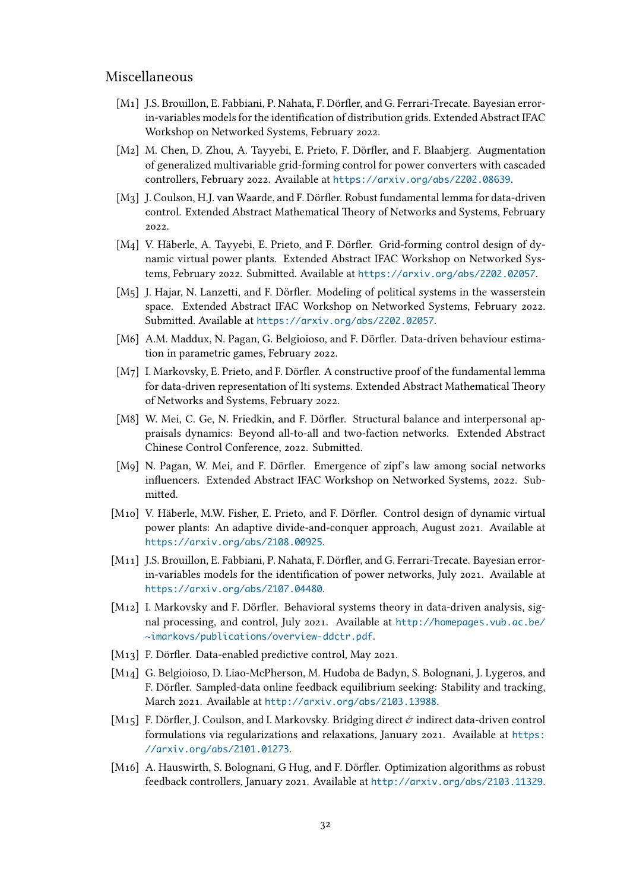## Miscellaneous

- [M1] J.S. Brouillon, E. Fabbiani, P. Nahata, F. Dörfler, and G. Ferrari-Trecate. Bayesian errorin-variables models for the identification of distribution grids. Extended Abstract IFAC Workshop on Networked Systems, February 2022.
- [M2] M. Chen, D. Zhou, A. Tayyebi, E. Prieto, F. Dörfler, and F. Blaabjerg. Augmentation of generalized multivariable grid-forming control for power converters with cascaded controllers, February 2022. Available at https://arxiv.org/abs/2202.08639.
- [M3] J. Coulson, H.J. van Waarde, and F. Dörfler. Robust fundamental lemma for data-driven control. Extended Abstract Mathematical Theory of Networks and Systems, February 2022.
- [M4] V. Häberle, A. Tayyebi, E. Prieto, and F. Dörfler. Grid-forming control design of dynamic virtual power plants. Extended Abstract IFAC Workshop on Networked Systems, February 2022. Submitted. Available at https://arxiv.org/abs/2202.02057.
- [M5] J. Hajar, N. Lanzetti, and F. Dörfler. Modeling of political systems in the wasserstein space. Extended Abstract IFAC Workshop on Networked Systems, February 2022. Submitted. Available at https://arxiv.org/[abs/2202.02057](https://arxiv.org/abs/2202.02057).
- [M6] A.M. Maddux, N. Pagan, G. Belgioioso, and F. Dörfler. Data-driven behaviour estimation in parametric games, February 2022.
- [M7] I. Markovsky, E. Prieto, [and F. Dörfler. A constructive proof of](https://arxiv.org/abs/2202.02057) the fundamental lemma for data-driven representation of lti systems. Extended Abstract Mathematical Theory of Networks and Systems, February 2022.
- [M8] W. Mei, C. Ge, N. Friedkin, and F. Dörfler. Structural balance and interpersonal appraisals dynamics: Beyond all-to-all and two-faction networks. Extended Abstract Chinese Control Conference, 2022. Submitted.
- [M9] N. Pagan, W. Mei, and F. Dörfler. Emergence of zipf's law among social networks influencers. Extended Abstract IFAC Workshop on Networked Systems, 2022. Submitted.
- [M10] V. Häberle, M.W. Fisher, E. Prieto, and F. Dörfler. Control design of dynamic virtual power plants: An adaptive divide-and-conquer approach, August 2021. Available at https://arxiv.org/abs/2108.00925.
- [M11] J.S. Brouillon, E. Fabbiani, P. Nahata, F. Dörfler, and G. Ferrari-Trecate. Bayesian errorin-variables models for the identification of power networks, July 2021. Available at [https://arxiv.org/abs/2107.04480](https://arxiv.org/abs/2108.00925).
- [M12] I. Markovsky and F. Dörfler. Behavioral systems theory in data-driven analysis, signal processing, and control, July 2021. Available at http://homepages.vub.ac.be/ [~imarkovs/publications/overview-](https://arxiv.org/abs/2107.04480)ddctr.pdf.
- [M13] F. Dörfler. Data-enabled predictive control, May 2021.
- [M14] G. Belgioioso, D. Liao-McPherson, M. Hudoba de Bad[yn, S. Bolognani, J. Lygeros, and](http://homepages.vub.ac.be/~imarkovs/publications/overview-ddctr.pdf) [F. Dörfler. Sampled-data online feedback equilib](http://homepages.vub.ac.be/~imarkovs/publications/overview-ddctr.pdf)rium seeking: Stability and tracking, March 2021. Available at http://arxiv.org/abs/2103.13988.
- [M15] F. Dörfler, J. Coulson, and I. Markovsky. Bridging direct  $\dot{\mathcal{C}}$  indirect data-driven control formulations via regularizations and relaxations, January 2021. Available at https: //arxiv.org/abs/2101.[01273](http://arxiv.org/abs/2103.13988).
- [M16] A. Hauswirth, S. Bolognani, G Hug, and F. Dörfler. Optimization algorithms as robust feedback controllers, January 2021. Available at http://arxiv.org/abs/2103[.11329](https://arxiv.org/abs/2101.01273).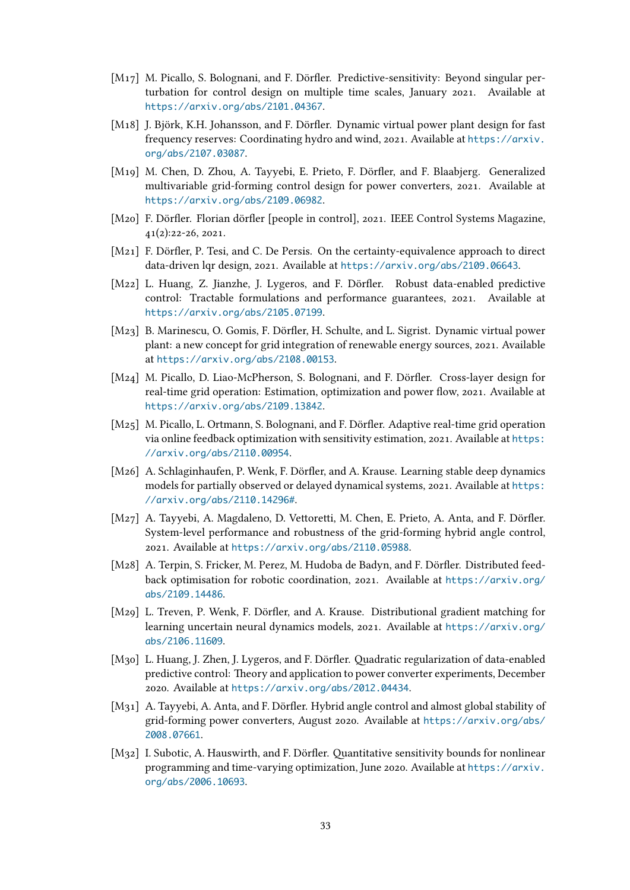- [M17] M. Picallo, S. Bolognani, and F. Dörfler. Predictive-sensitivity: Beyond singular perturbation for control design on multiple time scales, January 2021. Available at https://arxiv.org/abs/2101.04367.
- [M18] J. Björk, K.H. Johansson, and F. Dörfler. Dynamic virtual power plant design for fast frequency reserves: Coordinating hydro and wind, 2021. Available at https://arxiv. [org/abs/2107.03087](https://arxiv.org/abs/2101.04367).
- [M19] M. Chen, D. Zhou, A. Tayyebi, E. Prieto, F. Dörfler, and F. Blaabjerg. Generalized multivariable grid-forming control design for power converters, 20[21. Available at](https://arxiv.org/abs/2107.03087) [https://arxiv.org/](https://arxiv.org/abs/2107.03087)abs/2109.06982.
- [M20] F. Dörfler. Florian dörfler [people in control], 2021. IEEE Control Systems Magazine, 41(2):22-26, 2021.
- [M21] [F. Dörfler, P. Tesi, and C. De Persis. O](https://arxiv.org/abs/2109.06982)n the certainty-equivalence approach to direct data-driven lqr design, 2021. Available at https://arxiv.org/abs/2109.06643.
- [M22] L. Huang, Z. Jianzhe, J. Lygeros, and F. Dörfler. Robust data-enabled predictive control: Tractable formulations and performance guarantees, 2021. Available at https://arxiv.org/abs/2105.07199.
- [M23] B. Marinescu, O. Gomis, F. Dörfler, H. Schulte, and L. Sigrist. Dynamic virtual power plant: a new concept for grid integration of renewable energy sources, 2021. Available at [https://arxiv.org/abs/2108.001](https://arxiv.org/abs/2105.07199)53.
- [M24] M. Picallo, D. Liao-McPherson, S. Bolognani, and F. Dörfler. Cross-layer design for real-time grid operation: Estimation, optimization and power flow, 2021. Available at ht[tps://arxiv.org/abs/2109.13842](https://arxiv.org/abs/2108.00153).
- [M25] M. Picallo, L. Ortmann, S. Bolognani, and F. Dörfler. Adaptive real-time grid operation via online feedback optimization with sensitivity estimation, 2021. Available at https: [//arxiv.org/abs/2110.00954](https://arxiv.org/abs/2109.13842).
- [M26] A. Schlaginhaufen, P. Wenk, F. Dörfler, and A. Krause. Learning stable deep dynamics models for partially observed or delayed dynamical systems, 2021. Available at [https:](https://arxiv.org/abs/2110.00954) [//arxiv.org/abs/2110.14296](https://arxiv.org/abs/2110.00954)#.
- [M27] A. Tayyebi, A. Magdaleno, D. Vettoretti, M. Chen, E. Prieto, A. Anta, and F. Dörfler. System-level performance and robustness of the grid-forming hybrid angle [control,](https://arxiv.org/abs/2110.14296#) [2021. Available at](https://arxiv.org/abs/2110.14296#) https://arxiv.org/abs/2110.05988.
- [M28] A. Terpin, S. Fricker, M. Perez, M. Hudoba de Badyn, and F. Dörfler. Distributed feedback optimisation for robotic coordination, 2021. Available at https://arxiv.org/ abs/2109.14486.
- [M29] L. Treven, P. Wenk, F. Dörfler, and A. Krause. Distributional gradient matching for learning uncertain neural dynamics models, 2021. Available at [https://arxiv.org/](https://arxiv.org/abs/2109.14486) [abs/2106.11609](https://arxiv.org/abs/2109.14486).
- [M30] L. Huang, J. Zhen, J. Lygeros, and F. Dörfler. Quadratic regularization of data-enabled predictive control: Theory and application to power converter e[xperiments, December](https://arxiv.org/abs/2106.11609) [2020. Available a](https://arxiv.org/abs/2106.11609)t https://arxiv.org/abs/2012.04434.
- [M31] A. Tayyebi, A. Anta, and F. Dörfler. Hybrid angle control and almost global stability of grid-forming power converters, August 2020. Available at https://arxiv.org/abs/ 2008.07661.
- [M32] I. Subotic, A. Hauswirth, and F. Dörfler. Quantitative sensitivity bounds for nonlinear programming and time-varying optimization, June 2020. Available at [https://arxiv.](https://arxiv.org/abs/2008.07661) [org/abs/200](https://arxiv.org/abs/2008.07661)6.10693.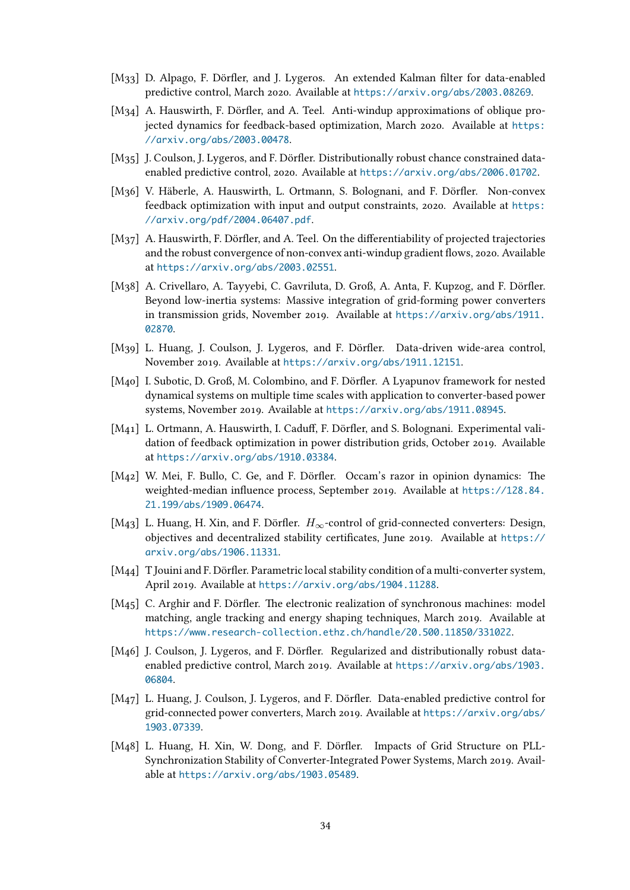- [M33] D. Alpago, F. Dörfler, and J. Lygeros. An extended Kalman filter for data-enabled predictive control, March 2020. Available at https://arxiv.org/abs/2003.08269.
- [M34] A. Hauswirth, F. Dörfler, and A. Teel. Anti-windup approximations of oblique projected dynamics for feedback-based optimization, March 2020. Available at https: //arxiv.org/abs/2003.00478.
- [M<sub>35</sub>] J. Coulson, J. Lygeros, and F. Dörfler. Distributionally robust chance constrained dataenabled predictive control, 2020. Available at https://arxiv.org/abs/2006.[01702](https://arxiv.org/abs/2003.00478).
- [M36] [V. Häberle, A. Hauswirth, L.](https://arxiv.org/abs/2003.00478) Ortmann, S. Bolognani, and F. Dörfler. Non-convex feedback optimization with input and output constraints, 2020. Available at https: //arxiv.org/pdf/2004.06407.pdf.
- [M37] A. Hauswirth, F. Dörfler, and A. Teel. On the differentiability of projected trajectories and the robust convergence of non-convex anti-windup gradient flows, 2020. A[vailable](https://arxiv.org/pdf/2004.06407.pdf) at [https://arxiv.org/abs/2003.0](https://arxiv.org/pdf/2004.06407.pdf)2551.
- [M38] A. Crivellaro, A. Tayyebi, C. Gavriluta, D. Groß, A. Anta, F. Kupzog, and F. Dörfler. Beyond low-inertia systems: Massive integration of grid-forming power converters in [transmission grids, November 2019.](https://arxiv.org/abs/2003.02551) Available at https://arxiv.org/abs/1911. 02870.
- [M39] L. Huang, J. Coulson, J. Lygeros, and F. Dörfler. Data-driven wide-area control, November 2019. Available at https://arxiv.org/ab[s/1911.12151](https://arxiv.org/abs/1911.02870).
- [M40] [I. Subo](https://arxiv.org/abs/1911.02870)tic, D. Groß, M. Colombino, and F. Dörfler. A Lyapunov framework for nested dynamical systems on multiple time scales with application to converter-based power systems, November 2019. Available at [https://arxiv.org/abs/191](https://arxiv.org/abs/1911.12151)1.08945.
- [M41] L. Ortmann, A. Hauswirth, I. Caduff, F. Dörfler, and S. Bolognani. Experimental validation of feedback optimization in power distribution grids, October 2019. Available at https://arxiv.org/abs/1910.033[84](https://arxiv.org/abs/1911.08945).
- [M42] W. Mei, F. Bullo, C. Ge, and F. Dörfler. Occam's razor in opinion dynamics: The weighted-median influence process, September 2019. Available at https://128.84. 21[.199/abs/1909.06474](https://arxiv.org/abs/1910.03384).
- [M43] L. Huang, H. Xin, and F. Dörfler. *H∞*-control of grid-connected converters: Design, objectives and decentralized stability certificates, June 2019. Available at [https://](https://128.84.21.199/abs/1909.06474) [arxiv.org/abs/1906.11](https://128.84.21.199/abs/1909.06474)331.
- [M44] T Jouini and F. Dörfler. Parametric local stability condition of a multi-converter system, April 2019. Available at https://arxiv.org/abs/1904.11288.
- [M45] [C. Arghir and F. Dörfler. The](https://arxiv.org/abs/1906.11331) electronic realization of synchronous machines: model matching, angle tracking and energy shaping techniques, March 2019. Available at https://www.research[-collection.ethz.ch/handle/20.500](https://arxiv.org/abs/1904.11288).11850/331022.
- [M46] J. Coulson, J. Lygeros, and F. Dörfler. Regularized and distributionally robust dataenabled predictive control, March 2019. Available at https://arxiv.org/abs/1903. [06804](https://www.research-collection.ethz.ch/handle/20.500.11850/331022).
- [M47] L. Huang, J. Coulson, J. Lygeros, and F. Dörfler. Data-enabled predictive control for grid-connected power converters, March 2019. Available at [https://arxiv.org/abs/](https://arxiv.org/abs/1903.06804) [1903.](https://arxiv.org/abs/1903.06804)07339.
- [M48] L. Huang, H. Xin, W. Dong, and F. Dörfler. Impacts of Grid Structure on PLL-Synchronization Stability of Converter-Integrated Power S[ystems, March 2019. Avail](https://arxiv.org/abs/1903.07339)[able at](https://arxiv.org/abs/1903.07339) https://arxiv.org/abs/1903.05489.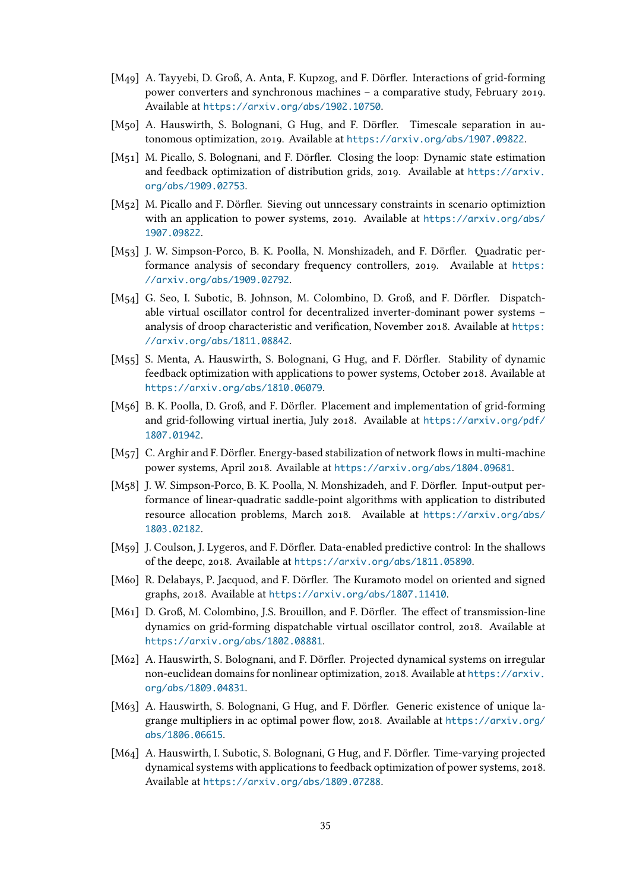- [M49] A. Tayyebi, D. Groß, A. Anta, F. Kupzog, and F. Dörfler. Interactions of grid-forming power converters and synchronous machines – a comparative study, February 2019. Available at https://arxiv.org/abs/1902.10750.
- [M50] A. Hauswirth, S. Bolognani, G Hug, and F. Dörfler. Timescale separation in autonomous optimization, 2019. Available at https://arxiv.org/abs/1907.09822.
- [M51] M. Picallo, [S. Bolognani, and F. Dörfler. Closing th](https://arxiv.org/abs/1902.10750)e loop: Dynamic state estimation and feedback optimization of distribution grids, 2019. Available at https://arxiv. org/abs/1909.02753.
- [M52] M. Picallo and F. Dörfler. Sieving out unncessary constraints in scenario optimiztion with an application to power systems, 2019. Available at https:/[/arxiv.org/abs/](https://arxiv.org/abs/1909.02753) [1907.09822](https://arxiv.org/abs/1909.02753).
- [M53] J. W. Simpson-Porco, B. K. Poolla, N. Monshizadeh, and F. Dörfler. Quadratic performance analysis of secondary frequency controllers, 2[019. Available at](https://arxiv.org/abs/1907.09822) https: [//arxiv.org](https://arxiv.org/abs/1907.09822)/abs/1909.02792.
- [M54] G. Seo, I. Subotic, B. Johnson, M. Colombino, D. Groß, and F. Dörfler. Dispatchable virtual oscillator control for decentralized inverter-dominant power sy[stems –](https://arxiv.org/abs/1909.02792) [analysis of droop characteristic](https://arxiv.org/abs/1909.02792) and verification, November 2018. Available at https: //arxiv.org/abs/1811.08842.
- [M55] S. Menta, A. Hauswirth, S. Bolognani, G Hug, and F. Dörfler. Stability of dynamic feedback optimization with applications to power systems, October 2018. Avai[lable at](https://arxiv.org/abs/1811.08842) [https://arxiv.org/abs/1810](https://arxiv.org/abs/1811.08842).06079.
- [M56] B. K. Poolla, D. Groß, and F. Dörfler. Placement and implementation of grid-forming and grid-following virtual inertia, July 2018. Available at https://arxiv.org/pdf/ [1807.01942](https://arxiv.org/abs/1810.06079).
- [M57] C. Arghir and F. Dörfler. Energy-based stabilization of network flows in multi-machine power systems, April 2018. Available at https://arxiv.or[g/abs/1804.09681](https://arxiv.org/pdf/1807.01942).
- [M58] [J. W. Simpso](https://arxiv.org/pdf/1807.01942)n-Porco, B. K. Poolla, N. Monshizadeh, and F. Dörfler. Input-output performance of linear-quadratic saddle-point algorithms with application to distributed resource allocation problems, March 2[018. Available at](https://arxiv.org/abs/1804.09681) https://arxiv.org/abs/ 1803.02182.
- [M59] J. Coulson, J. Lygeros, and F. Dörfler. Data-enabled predictive control: In the shallows of the deepc, 2018. Available at https://arxiv.org/abs/1[811.05890](https://arxiv.org/abs/1803.02182).
- [M60] [R. Delabays,](https://arxiv.org/abs/1803.02182) P. Jacquod, and F. Dörfler. The Kuramoto model on oriented and signed graphs, 2018. Available at https://arxiv.org/abs/1807.11410.
- [M61] D. Groß, M. Colombino, J.S. Br[ouillon, and F. Dörfler. The effect of tra](https://arxiv.org/abs/1811.05890)nsmission-line dynamics on grid-forming dispatchable virtual oscillator control, 2018. Available at https://arxiv.org/abs/[1802.08881](https://arxiv.org/abs/1807.11410).
- [M62] A. Hauswirth, S. Bolognani, and F. Dörfler. Projected dynamical systems on irregular non-euclidean domains for nonlinear optimization, 2018. Available at https://arxiv. [org/abs/1809.04831](https://arxiv.org/abs/1802.08881).
- [M63] A. Hauswirth, S. Bolognani, G Hug, and F. Dörfler. Generic existence of unique lagrange multipliers in ac optimal power flow, 2018. Available at htt[ps://arxiv.org/](https://arxiv.org/abs/1809.04831) [abs/1806.06615](https://arxiv.org/abs/1809.04831).
- [M64] A. Hauswirth, I. Subotic, S. Bolognani, G Hug, and F. Dörfler. Time-varying projected dynamical systems with applications to feedback optimization of [power systems, 2018.](https://arxiv.org/abs/1806.06615) [Available at](https://arxiv.org/abs/1806.06615) https://arxiv.org/abs/1809.07288.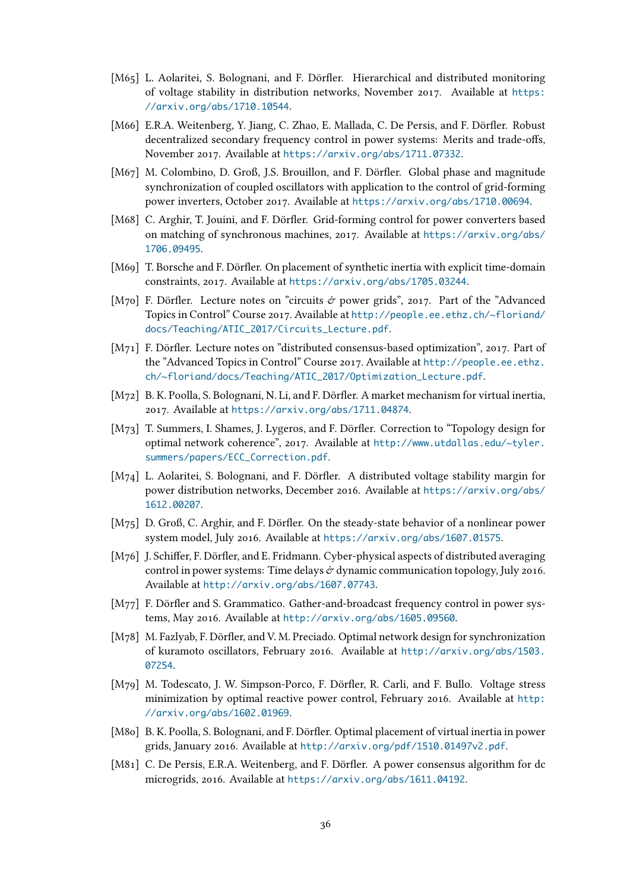- [M65] L. Aolaritei, S. Bolognani, and F. Dörfler. Hierarchical and distributed monitoring of voltage stability in distribution networks, November 2017. Available at https: //arxiv.org/abs/1710.10544.
- [M66] E.R.A. Weitenberg, Y. Jiang, C. Zhao, E. Mallada, C. De Persis, and F. Dörfler. Robust decentralized secondary frequency control in power systems: Merits and tra[de-offs,](https://arxiv.org/abs/1710.10544) [November 2017. Available at](https://arxiv.org/abs/1710.10544) https://arxiv.org/abs/1711.07332.
- [M67] M. Colombino, D. Groß, J.S. Brouillon, and F. Dörfler. Global phase and magnitude synchronization of coupled oscillators with application to the control of grid-forming power inverters, October 2017. Available at [https://arxiv.org/ab](https://arxiv.org/abs/1711.07332)s/1710.00694.
- [M68] C. Arghir, T. Jouini, and F. Dörfler. Grid-forming control for power converters based on matching of synchronous machines, 2017. Available at https://arxiv.org/abs/ 1706.09495.
- [M69] T. Borsche and F. Dörfler. On placement of synthetic inertia with explicit time-domain constraints, 2017. Available at https://arxiv.org/abs/17[05.03244](https://arxiv.org/abs/1706.09495).
- [M70] [F. Dörfler. L](https://arxiv.org/abs/1706.09495)ecture notes on "circuits  $\dot{\sigma}$  power grids", 2017. Part of the "Advanced" Topics in Control" Course 2017. Available at http://people.ee.ethz.ch/~floriand/ docs/Teaching/ATIC\_2017/C[ircuits\\_Lecture.pdf](https://arxiv.org/abs/1705.03244).
- [M71] F. Dörfler. Lecture notes on "distributed consensus-based optimization", 2017. Part of the "Advanced Topics in Control" Course 2017. Available at [http://people.ee.ethz.](http://people.ee.ethz.ch/~floriand/docs/Teaching/ATIC_2017/Circuits_Lecture.pdf) [ch/~floriand/docs/Teaching/ATIC\\_2017/Optimiza](http://people.ee.ethz.ch/~floriand/docs/Teaching/ATIC_2017/Circuits_Lecture.pdf)tion\_Lecture.pdf.
- [M72] B. K. Poolla, S. Bolognani, N. Li, and F. Dörfler. A market mechanism for virtual inertia, 2017. Available at https://arxiv.org/abs/1711.04874.
- [M73] [T. Summers, I. Shames, J. Lygeros, and F. Dörfler. Correction to "Topolog](http://people.ee.ethz.ch/~floriand/docs/Teaching/ATIC_2017/Optimization_Lecture.pdf)y design for optimal network coherence", 2017. Available at http://www.utdallas.edu/~tyler. summers/papers/[ECC\\_Correction.pdf](https://arxiv.org/abs/1711.04874).
- [M74] L. Aolaritei, S. Bolognani, and F. Dörfler. A distributed voltage stability margin for power distribution networks, December 2016. Available at [https://arxiv.org/abs/](http://www.utdallas.edu/~tyler.summers/papers/ECC_Correction.pdf) [1612.00207](http://www.utdallas.edu/~tyler.summers/papers/ECC_Correction.pdf).
- [M75] D. Groß, C. Arghir, and F. Dörfler. On the steady-state behavior of a nonlinear power system model, July 2016. Available at https://arxiv.org[/abs/1607.01575](https://arxiv.org/abs/1612.00207).
- [M76] [J. Schiffer, F.](https://arxiv.org/abs/1612.00207) Dörfler, and E. Fridmann. Cyber-physical aspects of distributed averaging control in power systems: Time delays  $\dot{\sigma}$  dynamic communication topology, July 2016. Available at http://arxiv.org/abs/[1607.07743](https://arxiv.org/abs/1607.01575).
- [M77] F. Dörfler and S. Grammatico. Gather-and-broadcast frequency control in power systems, May 2016. Available at http://arxiv.org/abs/1605.09560.
- [M78] M. Fazlyab, [F. Dörfler, and V. M. Preciado. Optimal](http://arxiv.org/abs/1607.07743) network design for synchronization of kuramoto oscillators, February 2016. Available at http://arxiv.org/abs/1503. 07254.
- [M79] M. Todescato, J. W. Simpson-Porco, F. Dörfler, R. Carli, and F. Bullo. Voltage stress minimization by optimal reactive power control, Feb[ruary 2016. Available at](http://arxiv.org/abs/1503.07254) http: [//arx](http://arxiv.org/abs/1503.07254)iv.org/abs/1602.01969.
- [M80] B. K. Poolla, S. Bolognani, and F. Dörfler. Optimal placement of virtual inertia in power grids, January 2016. Available at http://arxiv.org/pdf/1510.01497v2.pdf.
- [M81] [C. De Persis, E.R.A. Weitenber](http://arxiv.org/abs/1602.01969)g, and F. Dörfler. A power consensus algorithm for dc microgrids, 2016. Available at https://arxiv.org/abs/1611.04192.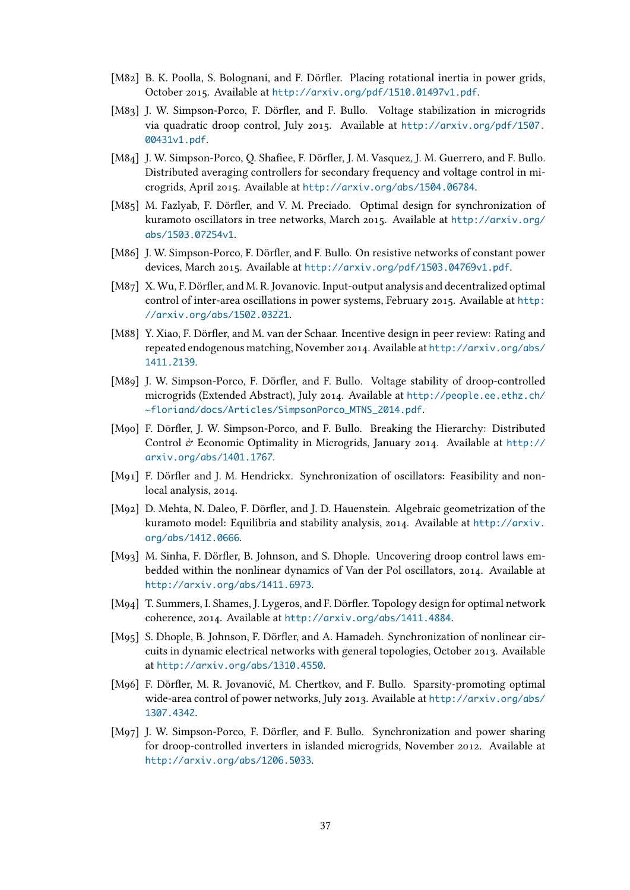- [M82] B. K. Poolla, S. Bolognani, and F. Dörfler. Placing rotational inertia in power grids, October 2015. Available at http://arxiv.org/pdf/1510.01497v1.pdf.
- [M83] J. W. Simpson-Porco, F. Dörfler, and F. Bullo. Voltage stabilization in microgrids via quadratic droop control, July 2015. Available at http://arxiv.org/pdf/1507. 00431v1.pdf.
- [M84] J. W. Simpson-Porco, Q. Shafiee, F. Dörfler, J. M. Vasquez, J. M. Guerrero, and F. Bullo. Distributed averaging controllers for secondary frequ[ency and voltage control in mi](http://arxiv.org/pdf/1507.00431v1.pdf)[crogrids, Apr](http://arxiv.org/pdf/1507.00431v1.pdf)il 2015. Available at http://arxiv.org/abs/1504.06784.
- [M85] M. Fazlyab, F. Dörfler, and V. M. Preciado. Optimal design for synchronization of kuramoto oscillators in tree networks, March 2015. Available at http://arxiv.org/ abs/1503.07254v1.
- [M86] J. W. Simpson-Porco, F. Dörfler, and F. Bullo. On resistive networks of constant power devices, March 2015. Available at http://arxiv.org/pdf/1503.[04769v1.pdf](http://arxiv.org/abs/1503.07254v1).
- [M87] [X. Wu, F. Dörfler, an](http://arxiv.org/abs/1503.07254v1)d M. R. Jovanovic. Input-output analysis and decentralized optimal control of inter-area oscillations in power systems, February 2015. Available at http: //arxiv.org/abs/1502.03221.
- [M88] Y. Xiao, F. Dörfler, and M. van der Schaar. Incentive design in peer review: Rating and repeated endogenous matching, November 2014. Available at http://arxiv.or[g/abs/](http://arxiv.org/abs/1502.03221) [1411.2139](http://arxiv.org/abs/1502.03221).
- [M89] J. W. Simpson-Porco, F. Dörfler, and F. Bullo. Voltage stability of droop-controlled microgrids (Extended Abstract), July 2014. Available at http[://people.ee.ethz.ch/](http://arxiv.org/abs/1411.2139) [~floriand](http://arxiv.org/abs/1411.2139)/docs/Articles/SimpsonPorco\_MTNS\_2014.pdf.
- [M90] F. Dörfler, J. W. Simpson-Porco, and F. Bullo. Breaking the Hierarchy: Distributed Control  $\mathcal O$  Economic Optimality in Microgrids, Januar[y 2014. Available at](http://people.ee.ethz.ch/~floriand/docs/Articles/SimpsonPorco_MTNS_2014.pdf) http:// [arxiv.org/abs/1401.1767](http://people.ee.ethz.ch/~floriand/docs/Articles/SimpsonPorco_MTNS_2014.pdf).
- [M91] F. Dörfler and J. M. Hendrickx. Synchronization of oscillators: Feasibility and nonlocal analysis, 2014.
- [M92] [D. Mehta, N. Daleo, F. Dörfl](http://arxiv.org/abs/1401.1767)er, and J. D. Hauenstein. Algebraic geometrization of the kuramoto model: Equilibria and stability analysis, 2014. Available at http://arxiv. org/abs/1412.0666.
- [M93] M. Sinha, F. Dörfler, B. Johnson, and S. Dhople. Uncovering droop control laws embedded within the nonlinear dynamics of Van der Pol oscillators, 20[14. Available at](http://arxiv.org/abs/1412.0666) [http://arxiv.org/](http://arxiv.org/abs/1412.0666)abs/1411.6973.
- [M94] T. Summers, I. Shames, J. Lygeros, and F. Dörfler. Topology design for optimal network coherence, 2014. Available at http://arxiv.org/abs/1411.4884.
- [M95] [S. Dhople, B. Johnson, F. Dörfler, an](http://arxiv.org/abs/1411.6973)d A. Hamadeh. Synchronization of nonlinear circuits in dynamic electrical networks with general topologies, October 2013. Available at http://arxiv.org/abs/13[10.4550](http://arxiv.org/abs/1411.4884).
- [M96] F. Dörfler, M. R. Jovanović, M. Chertkov, and F. Bullo. Sparsity-promoting optimal wide-area control of power networks, July 2013. Available at http://arxiv.org/abs/ 13[07.4342](http://arxiv.org/abs/1310.4550).
- [M97] J. W. Simpson-Porco, F. Dörfler, and F. Bullo. Synchronization and power sharing for droop-controlled inverters in islanded microgrids, Nov[ember 2012. Available at](http://arxiv.org/abs/1307.4342) [http://ar](http://arxiv.org/abs/1307.4342)xiv.org/abs/1206.5033.